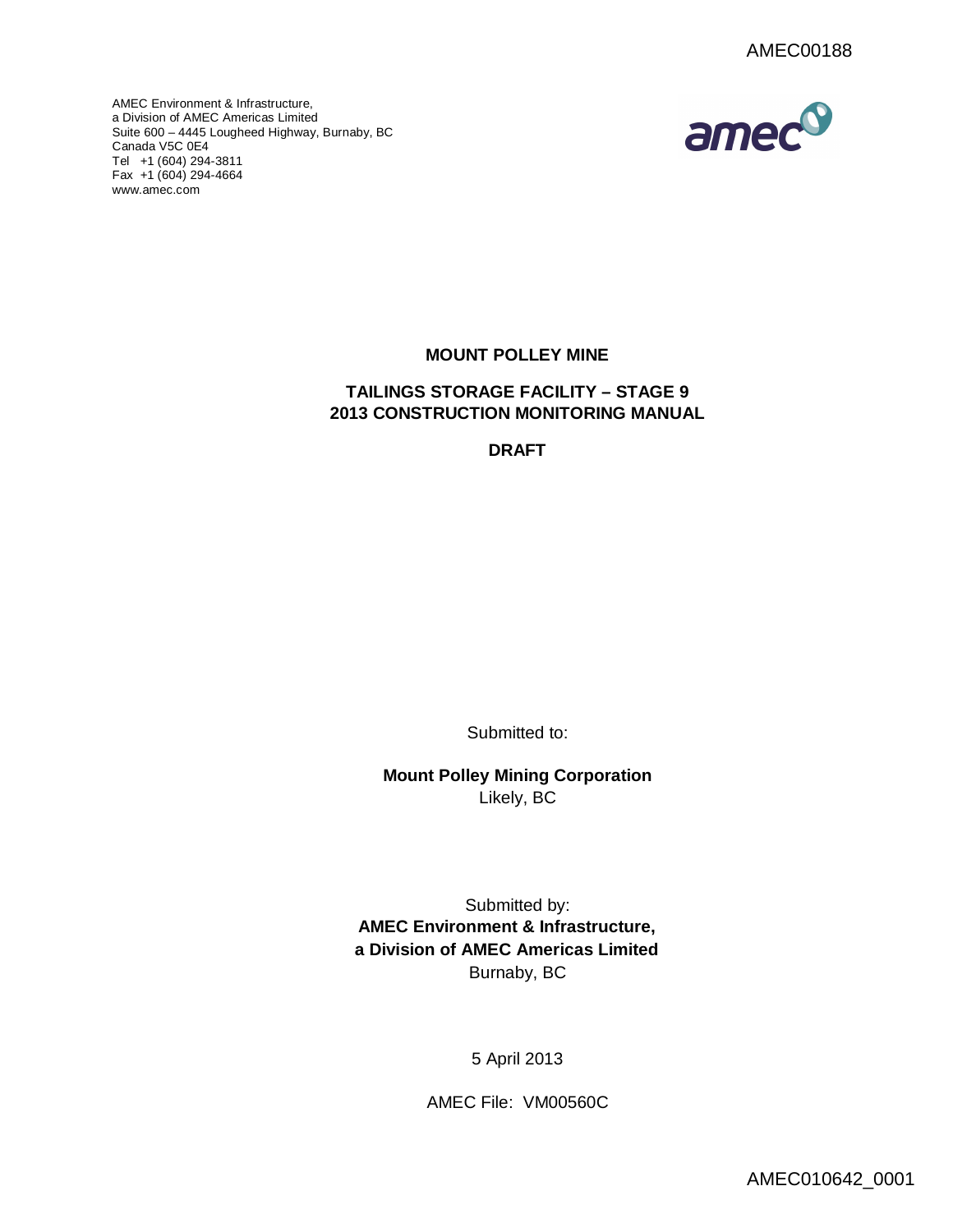AMEC Environment & Infrastructure, a Division of AMEC Americas Limited [Suite 600 –](http://www.amec.com) 4445 Lougheed Highway, Burnaby, BC Canada V5C 0E4 Tel +1 (604) 294-3811 Fax +1 (604) 294-4664 www.amec.com



**MOUNT POLLEY MINE**

**TAILINGS STORAGE FACILITY – STAGE 9 2013 CONSTRUCTION MONITORING MANUAL**

**DRAFT**

Submitted to:

**Mount Polley Mining Corporation** Likely, BC

Submitted by: **AMEC Environment & Infrastructure, a Division of AMEC Americas Limited** Burnaby, BC

5 April 2013

AMEC File: VM00560C

AMEC010642\_0001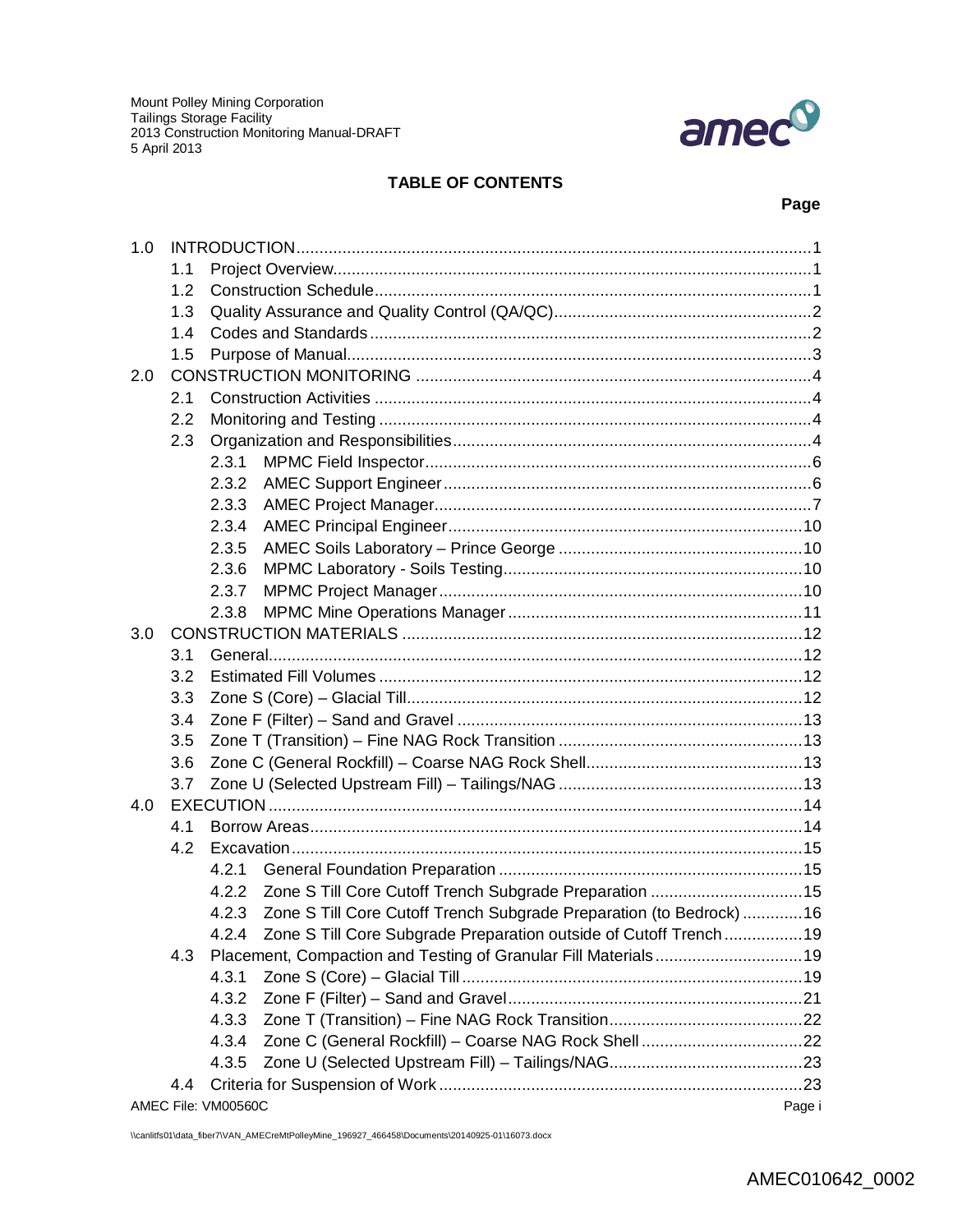

### **TABLE OF CONTENTS**

### **Page**

| 1.0 |     |                     |                                                                    |        |
|-----|-----|---------------------|--------------------------------------------------------------------|--------|
|     | 1.1 |                     |                                                                    |        |
|     | 1.2 |                     |                                                                    |        |
|     | 1.3 |                     |                                                                    |        |
|     | 1.4 |                     |                                                                    |        |
|     | 1.5 |                     |                                                                    |        |
| 2.0 |     |                     |                                                                    |        |
|     | 2.1 |                     |                                                                    |        |
|     | 2.2 |                     |                                                                    |        |
|     | 2.3 |                     |                                                                    |        |
|     |     | 2.3.1               |                                                                    |        |
|     |     | 2.3.2               |                                                                    |        |
|     |     | 2.3.3               |                                                                    |        |
|     |     | 2.3.4               |                                                                    |        |
|     |     | 2.3.5               |                                                                    |        |
|     |     | 2.3.6               |                                                                    |        |
|     |     | 2.3.7               |                                                                    |        |
|     |     | 2.3.8               |                                                                    |        |
| 3.0 |     |                     |                                                                    |        |
|     | 3.1 |                     |                                                                    |        |
|     | 3.2 |                     |                                                                    |        |
|     | 3.3 |                     |                                                                    |        |
|     | 3.4 |                     |                                                                    |        |
|     | 3.5 |                     |                                                                    |        |
|     | 3.6 |                     |                                                                    |        |
|     | 3.7 |                     |                                                                    |        |
| 4.0 |     |                     |                                                                    |        |
|     | 4.1 |                     |                                                                    |        |
|     | 4.2 |                     |                                                                    |        |
|     |     | 4.2.1               |                                                                    |        |
|     |     | 4.2.2               |                                                                    |        |
|     |     | 4.2.3               | Zone S Till Core Cutoff Trench Subgrade Preparation (to Bedrock)16 |        |
|     |     | 4.2.4               | Zone S Till Core Subgrade Preparation outside of Cutoff Trench19   |        |
|     | 4.3 |                     |                                                                    |        |
|     |     | 4.3.1               |                                                                    |        |
|     |     | 4.3.2               |                                                                    |        |
|     |     | 4.3.3               |                                                                    |        |
|     |     | 4.3.4               |                                                                    |        |
|     |     | 4.3.5               |                                                                    |        |
|     | 4.4 |                     |                                                                    |        |
|     |     | AMEC File: VM00560C |                                                                    | Page i |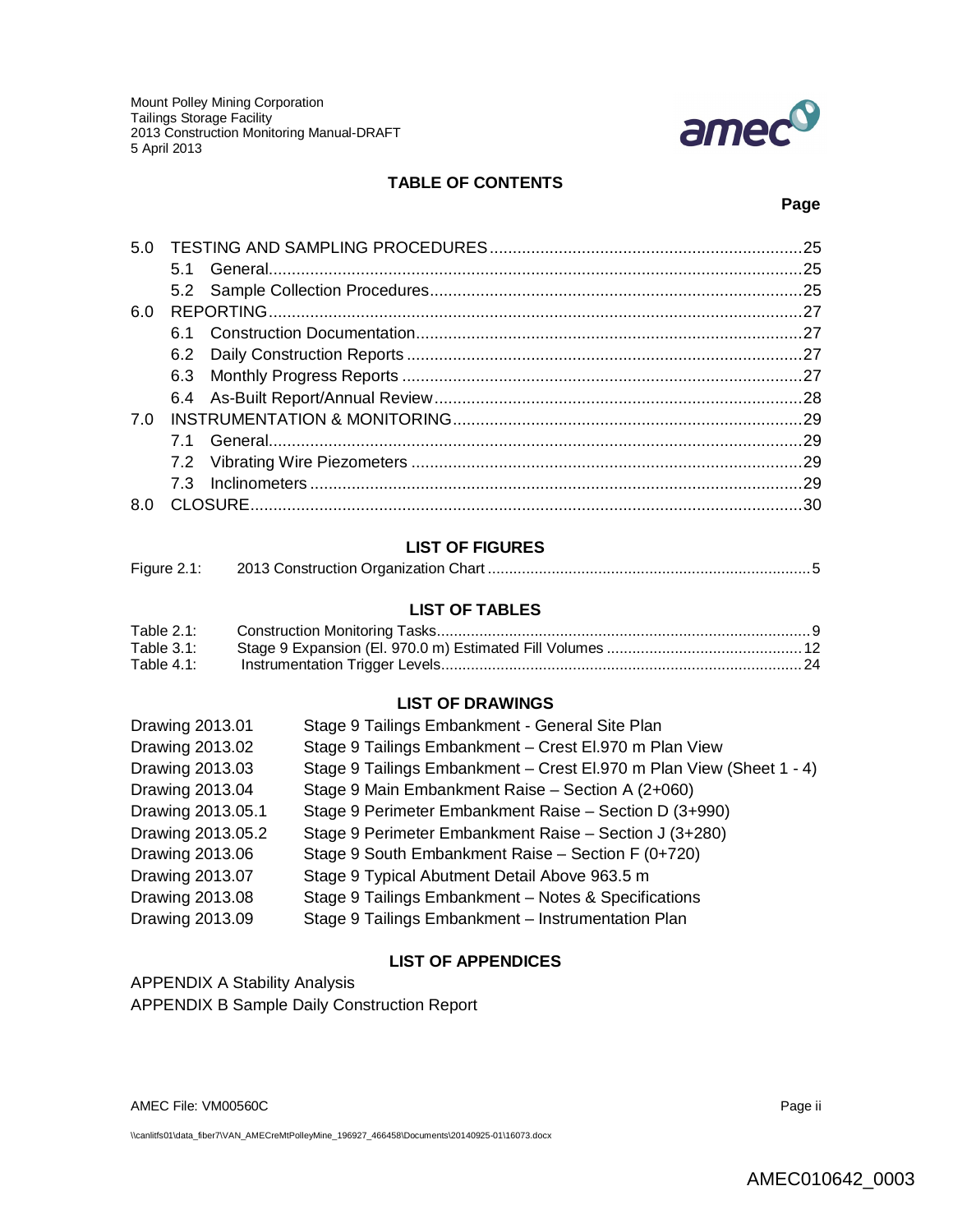

### **TABLE OF CONTENTS**

#### **Page**

| 5.0 |           |     |
|-----|-----------|-----|
|     | 51        | 25  |
|     |           |     |
| 6.0 |           |     |
|     | 61        |     |
|     |           |     |
|     |           |     |
|     |           |     |
| 7 O |           |     |
|     | 71        | .29 |
|     |           | .29 |
|     | <b>73</b> | .29 |
| 8.0 |           | 30  |

### **LIST OF FIGURES**

| Figure $2.1$ : |  |  |
|----------------|--|--|
|----------------|--|--|

### **LIST OF TABLES**

| Table 2.1: |  |
|------------|--|
| Table 3.1: |  |
| Table 4.1: |  |

#### **LIST OF DRAWINGS**

| Drawing 2013.01   | Stage 9 Tailings Embankment - General Site Plan                      |
|-------------------|----------------------------------------------------------------------|
| Drawing 2013.02   | Stage 9 Tailings Embankment - Crest El.970 m Plan View               |
| Drawing 2013.03   | Stage 9 Tailings Embankment - Crest El.970 m Plan View (Sheet 1 - 4) |
| Drawing 2013.04   | Stage 9 Main Embankment Raise - Section A (2+060)                    |
| Drawing 2013.05.1 | Stage 9 Perimeter Embankment Raise - Section D (3+990)               |
| Drawing 2013.05.2 | Stage 9 Perimeter Embankment Raise - Section J (3+280)               |
| Drawing 2013.06   | Stage 9 South Embankment Raise - Section F (0+720)                   |
| Drawing 2013.07   | Stage 9 Typical Abutment Detail Above 963.5 m                        |
| Drawing 2013.08   | Stage 9 Tailings Embankment - Notes & Specifications                 |
| Drawing 2013.09   | Stage 9 Tailings Embankment - Instrumentation Plan                   |

### **LIST OF APPENDICES**

APPENDIX A Stability Analysis APPENDIX B Sample Daily Construction Report

AMEC File: VM00560C Page ii Page iii Page iii Page iii Page iii Page iii Page iii Page iii Page iii Page iii Page iii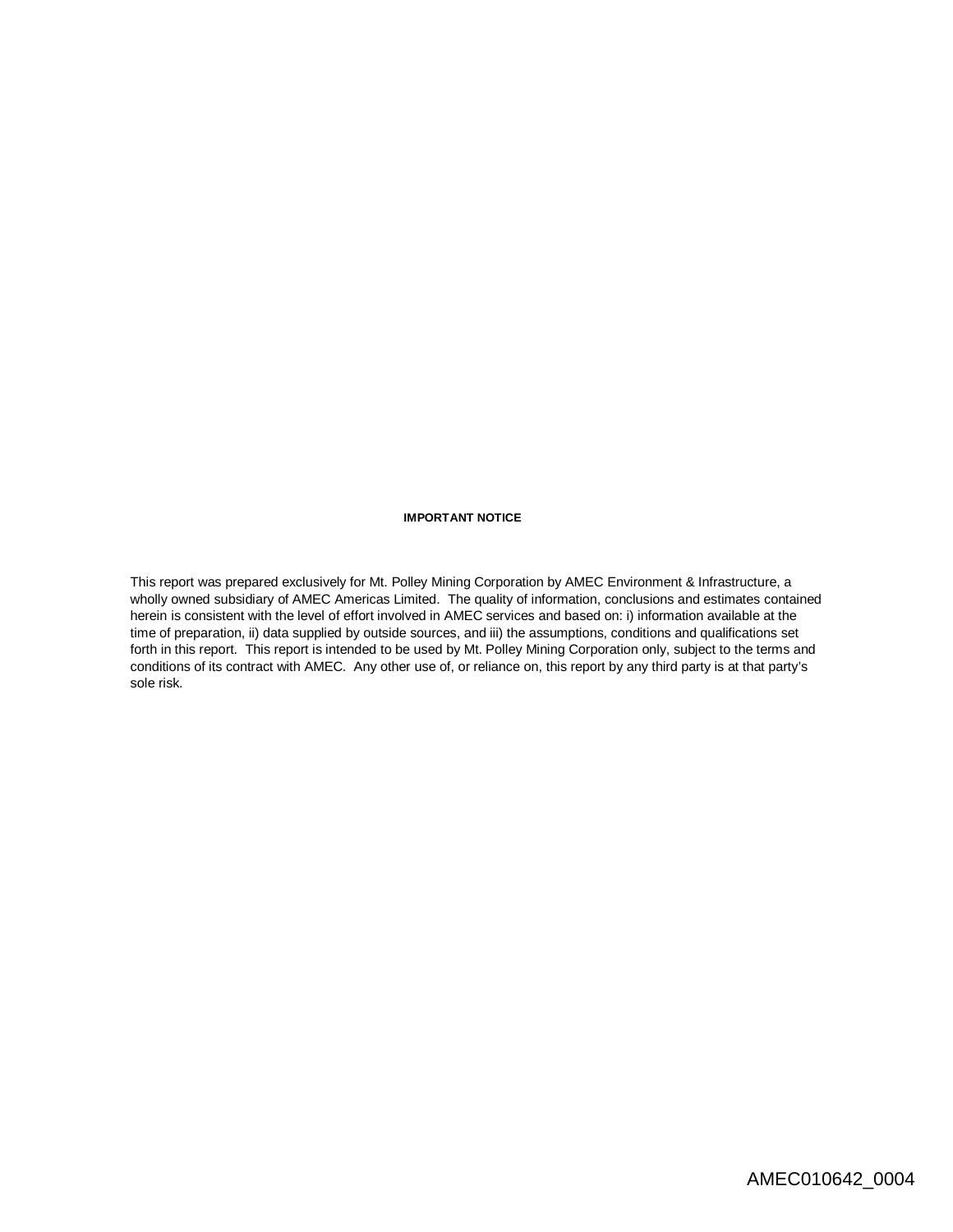#### **IMPORTANT NOTICE**

This report was prepared exclusively for Mt. Polley Mining Corporation by AMEC Environment & Infrastructure, a wholly owned subsidiary of AMEC Americas Limited. The quality of information, conclusions and estimates contained herein is consistent with the level of effort involved in AMEC services and based on: i) information available at the time of preparation, ii) data supplied by outside sources, and iii) the assumptions, conditions and qualifications set forth in this report. This report is intended to be used by Mt. Polley Mining Corporation only, subject to the terms and conditions of its contract with AMEC. Any other use of, or reliance on, this report by any third party is at that party's sole risk.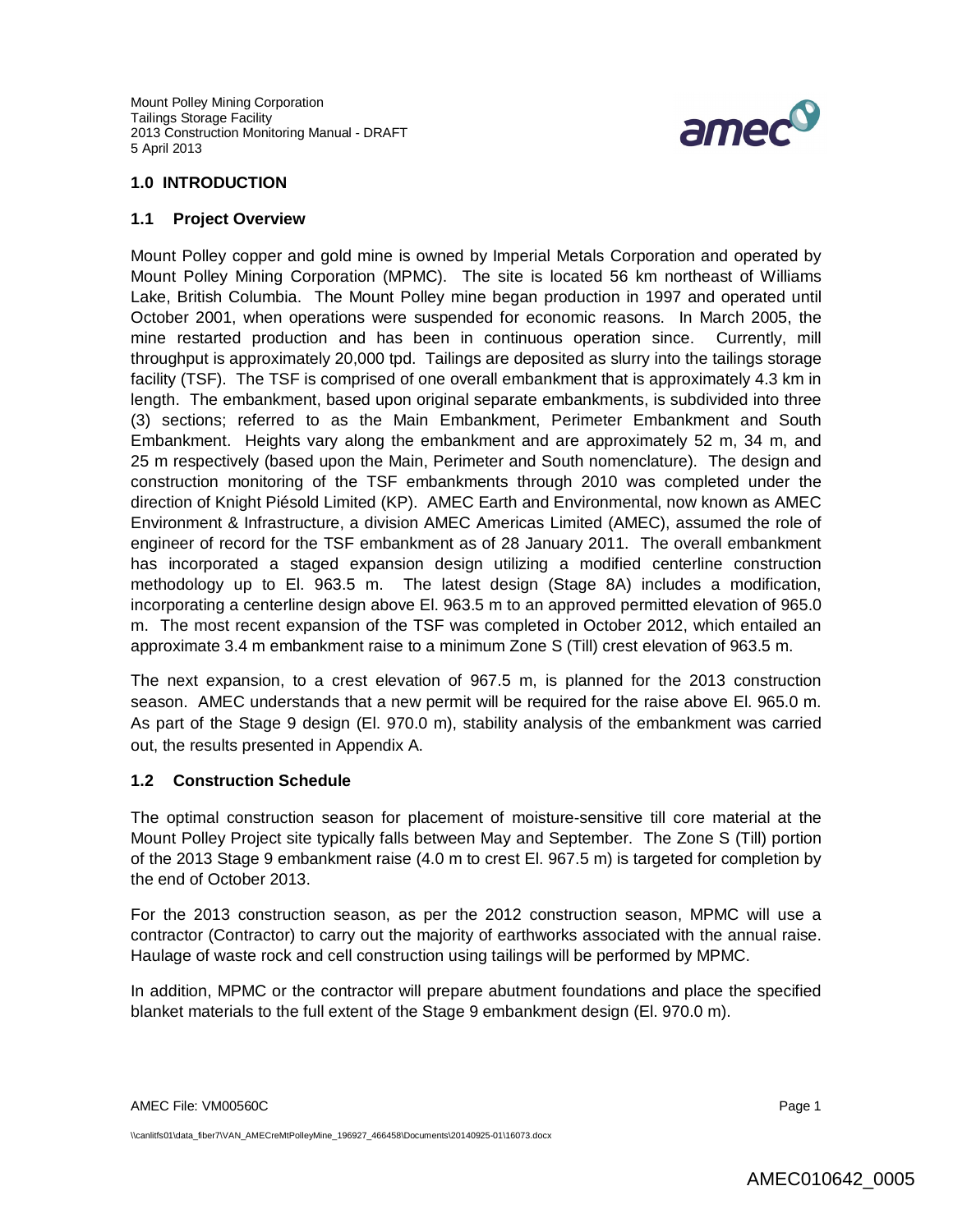

#### **1.0 INTRODUCTION**

#### **1.1 Project Overview**

Mount Polley copper and gold mine is owned by Imperial Metals Corporation and operated by Mount Polley Mining Corporation (MPMC). The site is located 56 km northeast of Williams Lake, British Columbia. The Mount Polley mine began production in 1997 and operated until October 2001, when operations were suspended for economic reasons. In March 2005, the mine restarted production and has been in continuous operation since. Currently, mill throughput is approximately 20,000 tpd. Tailings are deposited as slurry into the tailings storage facility (TSF). The TSF is comprised of one overall embankment that is approximately 4.3 km in length. The embankment, based upon original separate embankments, is subdivided into three (3) sections; referred to as the Main Embankment, Perimeter Embankment and South Embankment. Heights vary along the embankment and are approximately 52 m, 34 m, and 25 m respectively (based upon the Main, Perimeter and South nomenclature). The design and construction monitoring of the TSF embankments through 2010 was completed under the direction of Knight Piésold Limited (KP). AMEC Earth and Environmental, now known as AMEC Environment & Infrastructure, a division AMEC Americas Limited (AMEC), assumed the role of engineer of record for the TSF embankment as of 28 January 2011. The overall embankment has incorporated a staged expansion design utilizing a modified centerline construction methodology up to El. 963.5 m. The latest design (Stage 8A) includes a modification, incorporating a centerline design above El. 963.5 m to an approved permitted elevation of 965.0 m. The most recent expansion of the TSF was completed in October 2012, which entailed an approximate 3.4 m embankment raise to a minimum Zone S (Till) crest elevation of 963.5 m.

The next expansion, to a crest elevation of 967.5 m, is planned for the 2013 construction season. AMEC understands that a new permit will be required for the raise above El. 965.0 m. As part of the Stage 9 design (El. 970.0 m), stability analysis of the embankment was carried out, the results presented in Appendix A.

### **1.2 Construction Schedule**

The optimal construction season for placement of moisture-sensitive till core material at the Mount Polley Project site typically falls between May and September. The Zone S (Till) portion of the 2013 Stage 9 embankment raise (4.0 m to crest El. 967.5 m) is targeted for completion by the end of October 2013.

For the 2013 construction season, as per the 2012 construction season, MPMC will use a contractor (Contractor) to carry out the majority of earthworks associated with the annual raise. Haulage of waste rock and cell construction using tailings will be performed by MPMC.

In addition, MPMC or the contractor will prepare abutment foundations and place the specified blanket materials to the full extent of the Stage 9 embankment design (El. 970.0 m).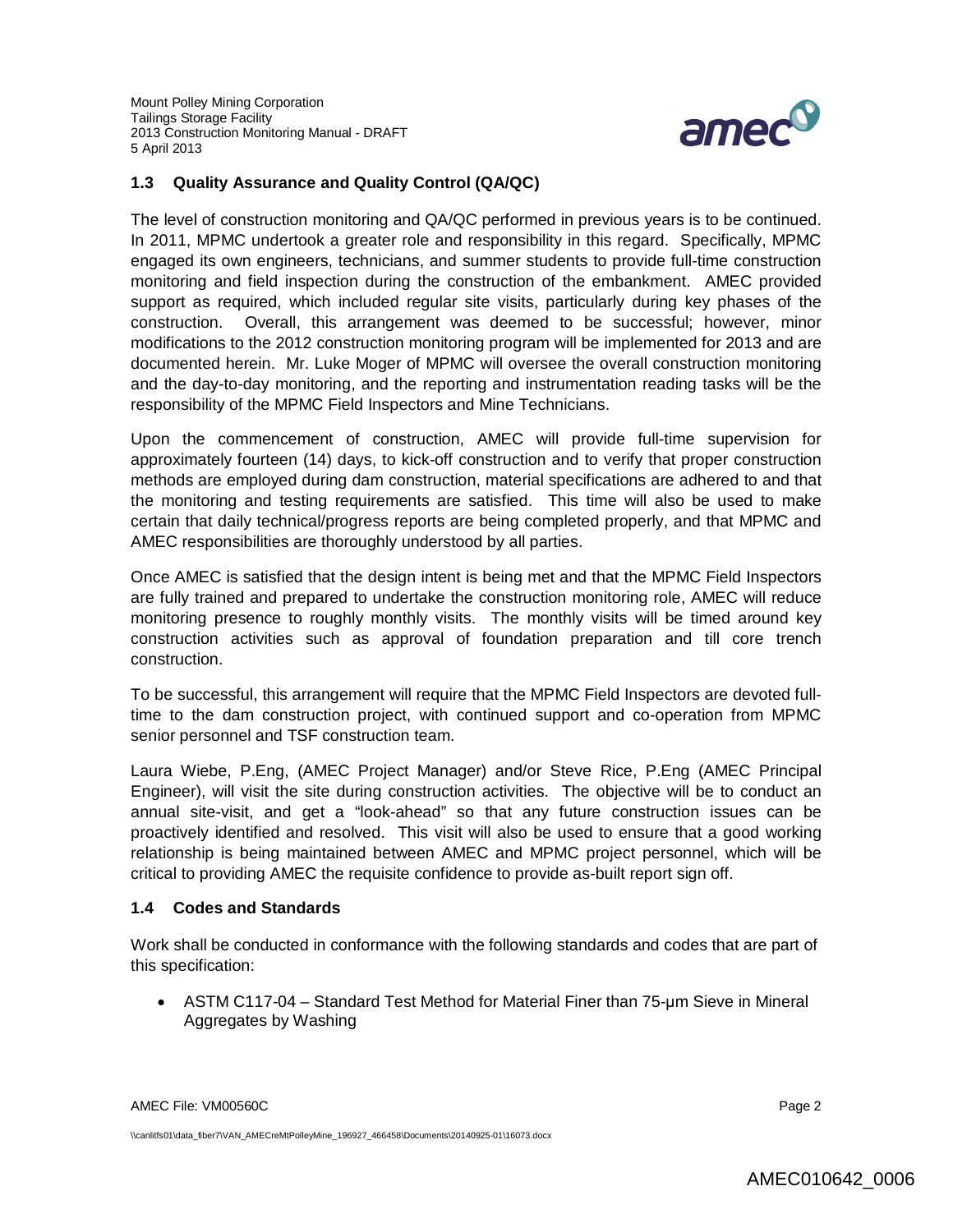

### **1.3 Quality Assurance and Quality Control (QA/QC)**

The level of construction monitoring and QA/QC performed in previous years is to be continued. In 2011, MPMC undertook a greater role and responsibility in this regard. Specifically, MPMC engaged its own engineers, technicians, and summer students to provide full-time construction monitoring and field inspection during the construction of the embankment. AMEC provided support as required, which included regular site visits, particularly during key phases of the construction. Overall, this arrangement was deemed to be successful; however, minor modifications to the 2012 construction monitoring program will be implemented for 2013 and are documented herein. Mr. Luke Moger of MPMC will oversee the overall construction monitoring and the day-to-day monitoring, and the reporting and instrumentation reading tasks will be the responsibility of the MPMC Field Inspectors and Mine Technicians.

Upon the commencement of construction, AMEC will provide full-time supervision for approximately fourteen (14) days, to kick-off construction and to verify that proper construction methods are employed during dam construction, material specifications are adhered to and that the monitoring and testing requirements are satisfied. This time will also be used to make certain that daily technical/progress reports are being completed properly, and that MPMC and AMEC responsibilities are thoroughly understood by all parties.

Once AMEC is satisfied that the design intent is being met and that the MPMC Field Inspectors are fully trained and prepared to undertake the construction monitoring role, AMEC will reduce monitoring presence to roughly monthly visits. The monthly visits will be timed around key construction activities such as approval of foundation preparation and till core trench construction.

To be successful, this arrangement will require that the MPMC Field Inspectors are devoted fulltime to the dam construction project, with continued support and co-operation from MPMC senior personnel and TSF construction team.

Laura Wiebe, P.Eng, (AMEC Project Manager) and/or Steve Rice, P.Eng (AMEC Principal Engineer), will visit the site during construction activities. The objective will be to conduct an annual site-visit, and get a "look-ahead" so that any future construction issues can be proactively identified and resolved. This visit will also be used to ensure that a good working relationship is being maintained between AMEC and MPMC project personnel, which will be critical to providing AMEC the requisite confidence to provide as-built report sign off.

#### **1.4 Codes and Standards**

Work shall be conducted in conformance with the following standards and codes that are part of this specification:

 ASTM C117-04 – Standard Test Method for Material Finer than 75-µm Sieve in Mineral Aggregates by Washing

AMEC File: VM00560C Page 2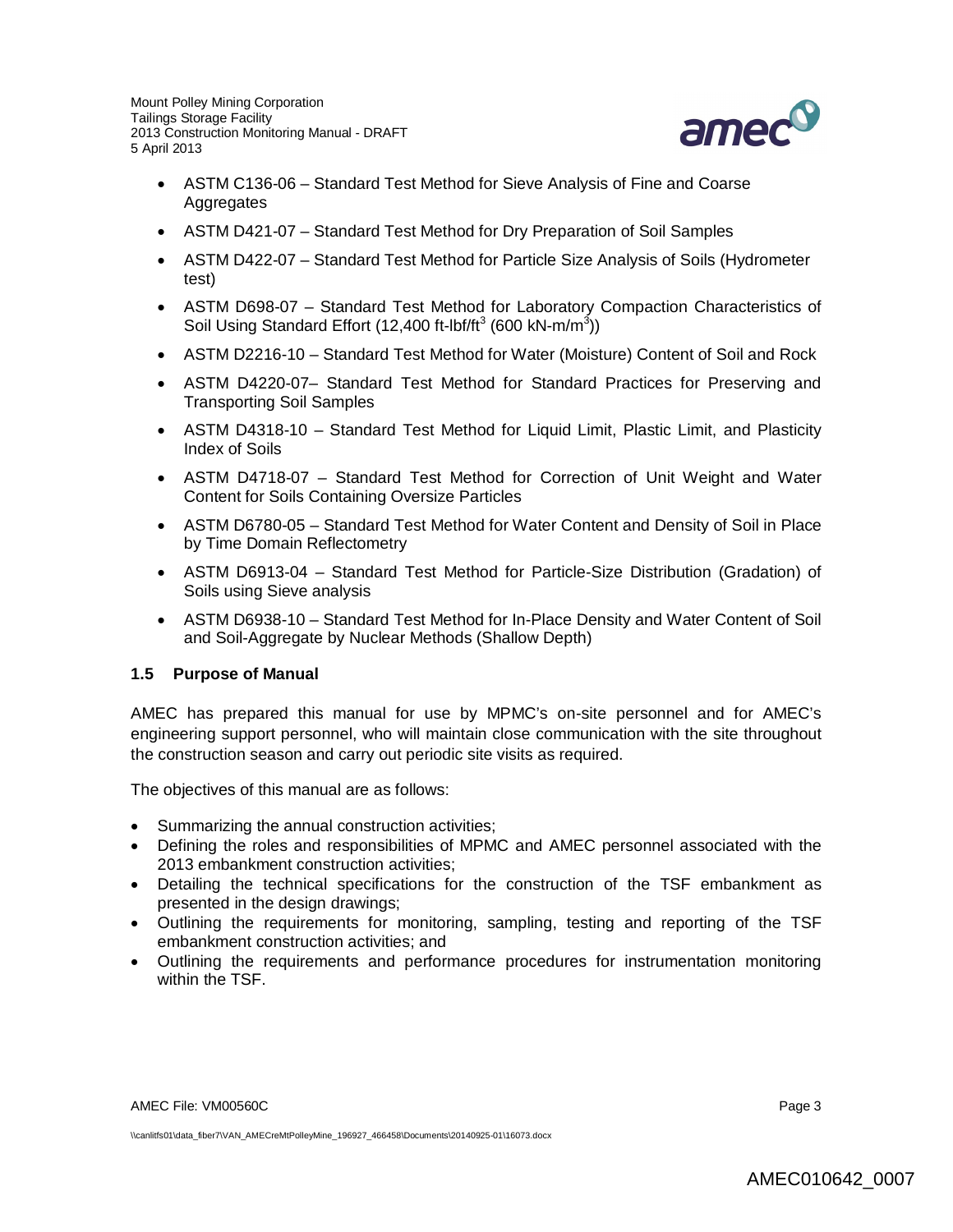

- ASTM C136-06 Standard Test Method for Sieve Analysis of Fine and Coarse Aggregates
- ASTM D421-07 Standard Test Method for Dry Preparation of Soil Samples
- ASTM D422-07 Standard Test Method for Particle Size Analysis of Soils (Hydrometer test)
- ASTM D698-07 Standard Test Method for Laboratory Compaction Characteristics of Soil Using Standard Effort (12,400 ft-lbf/ft<sup>3</sup> (600 kN-m/m<sup>3</sup>))
- ASTM D2216-10 Standard Test Method for Water (Moisture) Content of Soil and Rock
- ASTM D4220-07– Standard Test Method for Standard Practices for Preserving and Transporting Soil Samples
- ASTM D4318-10 Standard Test Method for Liquid Limit, Plastic Limit, and Plasticity Index of Soils
- ASTM D4718-07 Standard Test Method for Correction of Unit Weight and Water Content for Soils Containing Oversize Particles
- ASTM D6780-05 Standard Test Method for Water Content and Density of Soil in Place by Time Domain Reflectometry
- ASTM D6913-04 Standard Test Method for Particle-Size Distribution (Gradation) of Soils using Sieve analysis
- ASTM D6938-10 Standard Test Method for In-Place Density and Water Content of Soil and Soil-Aggregate by Nuclear Methods (Shallow Depth)

#### **1.5 Purpose of Manual**

AMEC has prepared this manual for use by MPMC's on-site personnel and for AMEC's engineering support personnel, who will maintain close communication with the site throughout the construction season and carry out periodic site visits as required.

The objectives of this manual are as follows:

- Summarizing the annual construction activities;
- Defining the roles and responsibilities of MPMC and AMEC personnel associated with the 2013 embankment construction activities;
- Detailing the technical specifications for the construction of the TSF embankment as presented in the design drawings;
- Outlining the requirements for monitoring, sampling, testing and reporting of the TSF embankment construction activities; and
- Outlining the requirements and performance procedures for instrumentation monitoring within the TSF.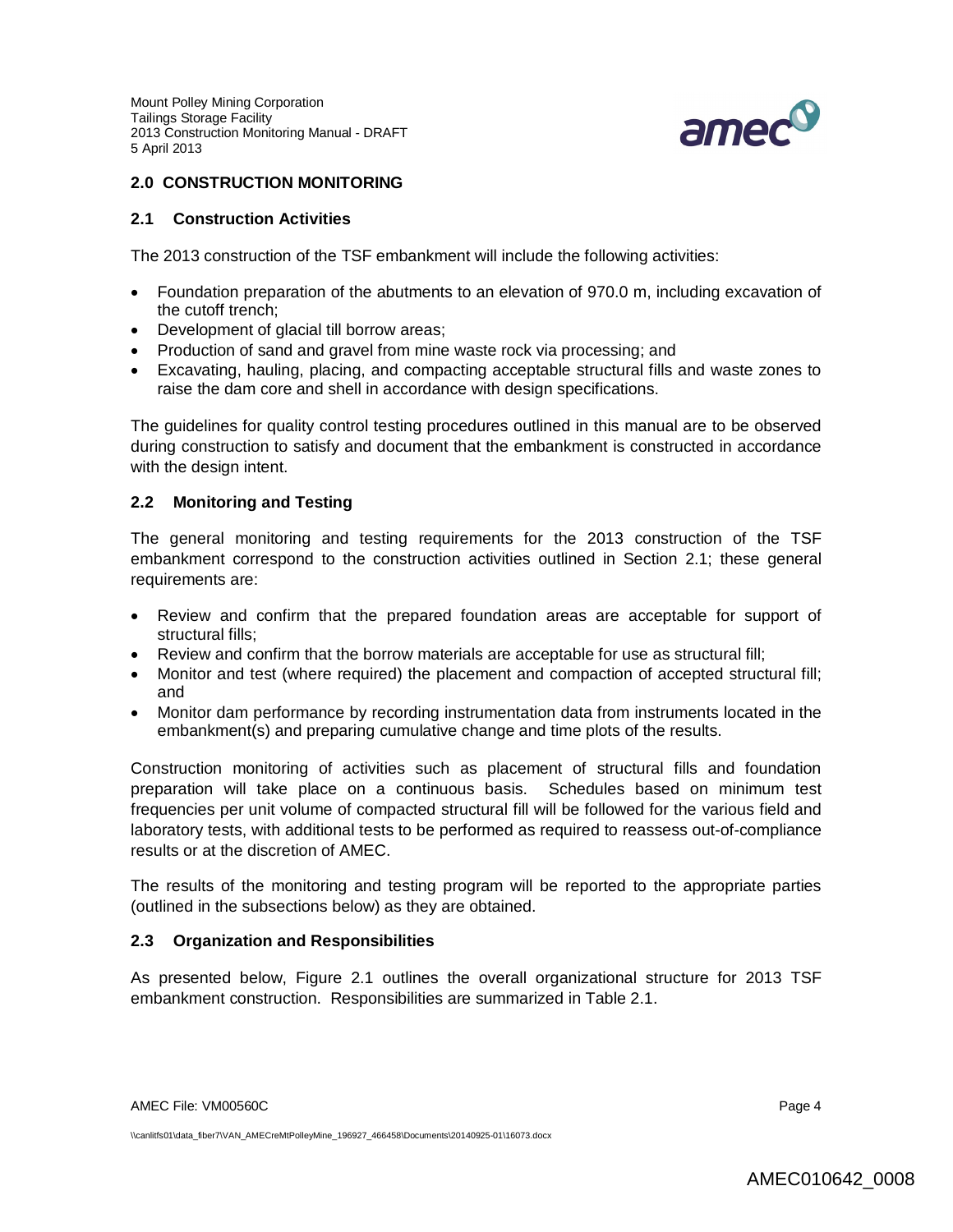

#### **2.0 CONSTRUCTION MONITORING**

#### **2.1 Construction Activities**

The 2013 construction of the TSF embankment will include the following activities:

- Foundation preparation of the abutments to an elevation of 970.0 m, including excavation of the cutoff trench;
- Development of glacial till borrow areas;
- Production of sand and gravel from mine waste rock via processing; and
- Excavating, hauling, placing, and compacting acceptable structural fills and waste zones to raise the dam core and shell in accordance with design specifications.

The guidelines for quality control testing procedures outlined in this manual are to be observed during construction to satisfy and document that the embankment is constructed in accordance with the design intent.

#### **2.2 Monitoring and Testing**

The general monitoring and testing requirements for the 2013 construction of the TSF embankment correspond to the construction activities outlined in Section 2.1; these general requirements are:

- Review and confirm that the prepared foundation areas are acceptable for support of structural fills;
- Review and confirm that the borrow materials are acceptable for use as structural fill;
- Monitor and test (where required) the placement and compaction of accepted structural fill; and
- Monitor dam performance by recording instrumentation data from instruments located in the embankment(s) and preparing cumulative change and time plots of the results.

Construction monitoring of activities such as placement of structural fills and foundation preparation will take place on a continuous basis. Schedules based on minimum test frequencies per unit volume of compacted structural fill will be followed for the various field and laboratory tests, with additional tests to be performed as required to reassess out-of-compliance results or at the discretion of AMEC.

The results of the monitoring and testing program will be reported to the appropriate parties (outlined in the subsections below) as they are obtained.

### **2.3 Organization and Responsibilities**

As presented below, Figure 2.1 outlines the overall organizational structure for 2013 TSF embankment construction. Responsibilities are summarized in Table 2.1.

AMEC File: VM00560C Page 4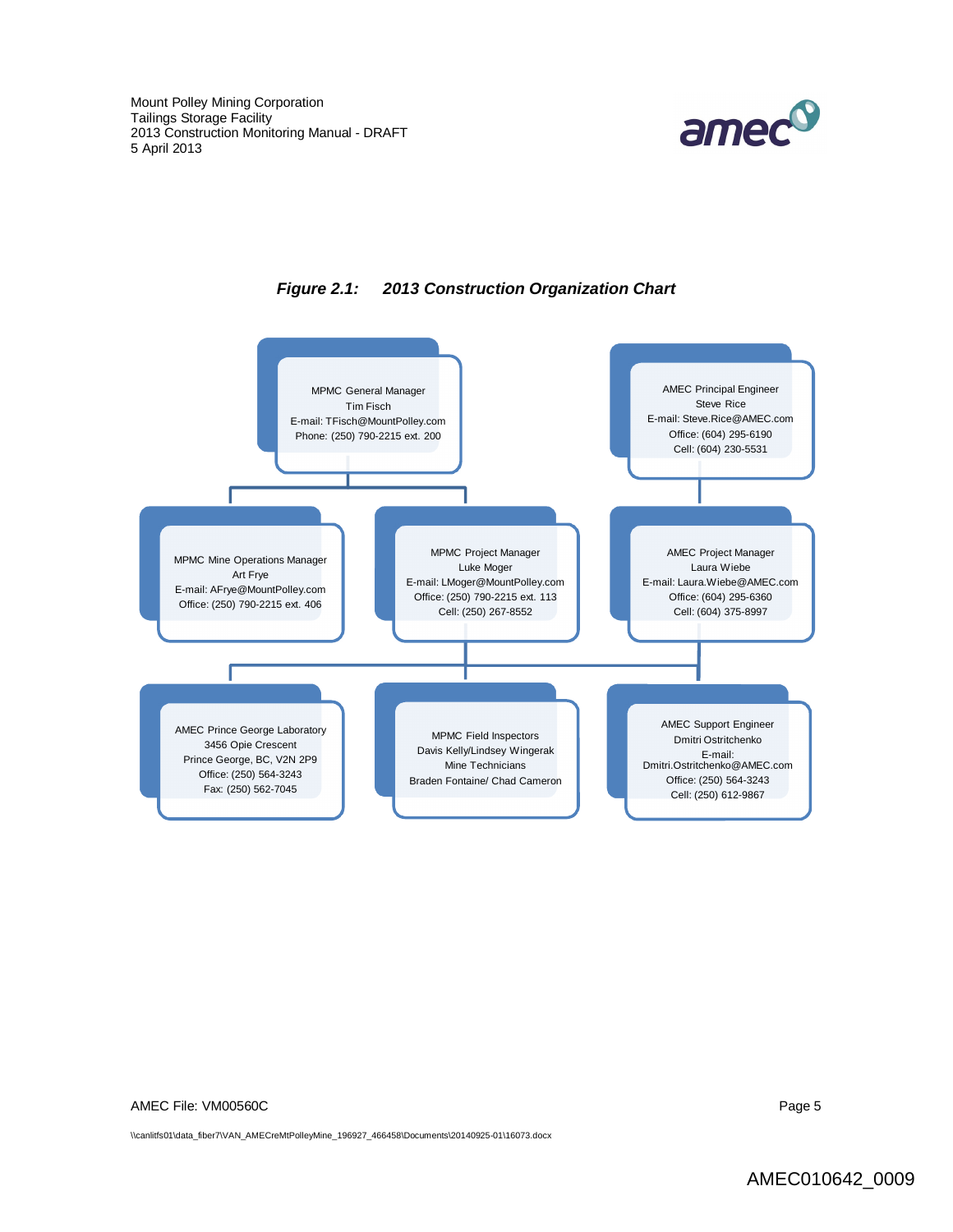



*Figure 2.1: 2013 Construction Organization Chart*

\\canlitfs01\data\_fiber7\VAN\_AMECreMtPolleyMine\_196927\_466458\Documents\20140925-01\16073.docx

AMEC010642\_0009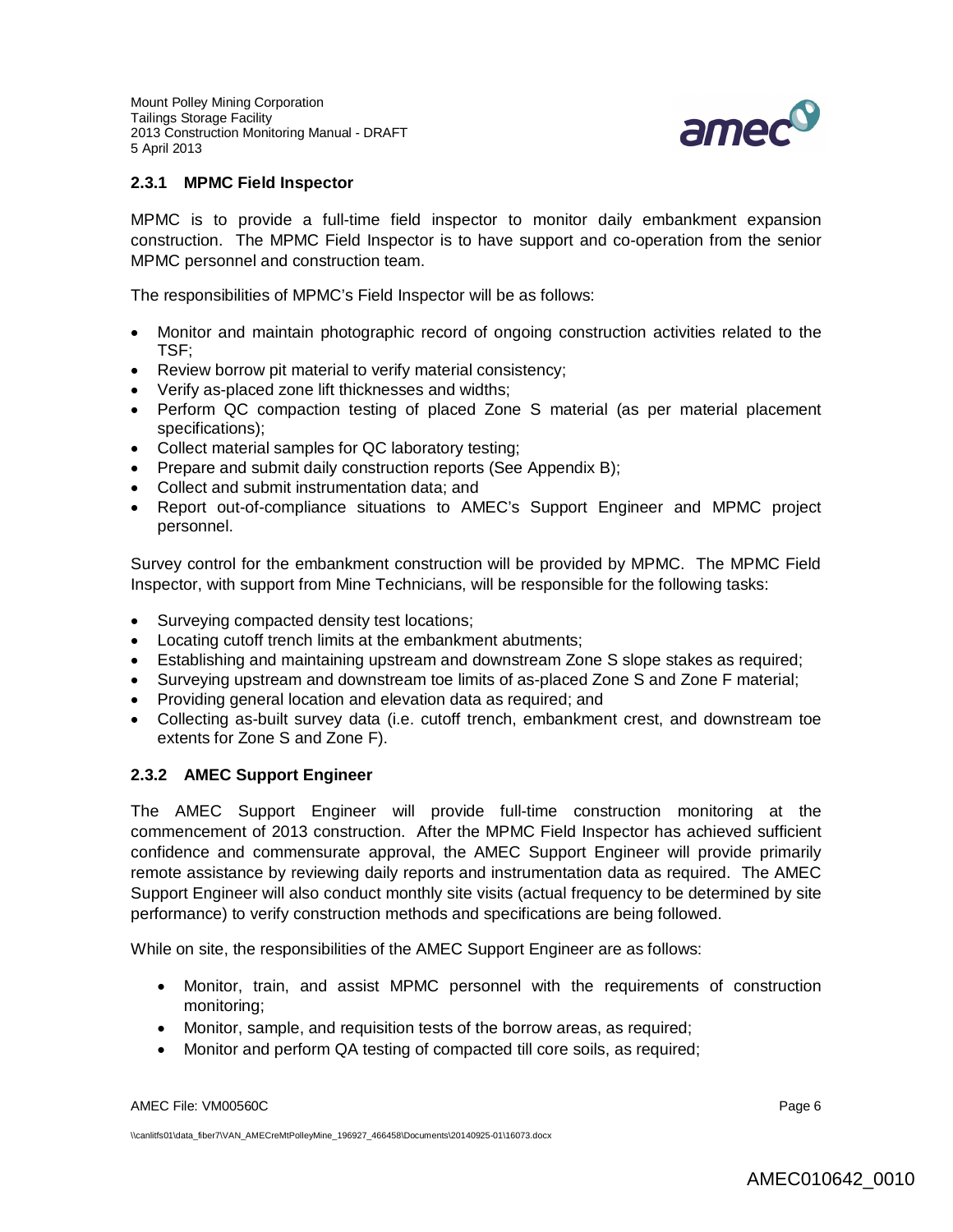

#### **2.3.1 MPMC Field Inspector**

MPMC is to provide a full-time field inspector to monitor daily embankment expansion construction. The MPMC Field Inspector is to have support and co-operation from the senior MPMC personnel and construction team.

The responsibilities of MPMC's Field Inspector will be as follows:

- Monitor and maintain photographic record of ongoing construction activities related to the TSF;
- Review borrow pit material to verify material consistency;
- Verify as-placed zone lift thicknesses and widths;
- Perform QC compaction testing of placed Zone S material (as per material placement specifications);
- Collect material samples for QC laboratory testing;
- Prepare and submit daily construction reports (See Appendix B);
- Collect and submit instrumentation data; and
- Report out-of-compliance situations to AMEC's Support Engineer and MPMC project personnel.

Survey control for the embankment construction will be provided by MPMC. The MPMC Field Inspector, with support from Mine Technicians, will be responsible for the following tasks:

- Surveying compacted density test locations;
- Locating cutoff trench limits at the embankment abutments;
- Establishing and maintaining upstream and downstream Zone S slope stakes as required;
- Surveying upstream and downstream toe limits of as-placed Zone S and Zone F material;
- Providing general location and elevation data as required; and
- Collecting as-built survey data (i.e. cutoff trench, embankment crest, and downstream toe extents for Zone S and Zone F).

### **2.3.2 AMEC Support Engineer**

The AMEC Support Engineer will provide full-time construction monitoring at the commencement of 2013 construction. After the MPMC Field Inspector has achieved sufficient confidence and commensurate approval, the AMEC Support Engineer will provide primarily remote assistance by reviewing daily reports and instrumentation data as required. The AMEC Support Engineer will also conduct monthly site visits (actual frequency to be determined by site performance) to verify construction methods and specifications are being followed.

While on site, the responsibilities of the AMEC Support Engineer are as follows:

- Monitor, train, and assist MPMC personnel with the requirements of construction monitoring;
- Monitor, sample, and requisition tests of the borrow areas, as required;
- Monitor and perform QA testing of compacted till core soils, as required;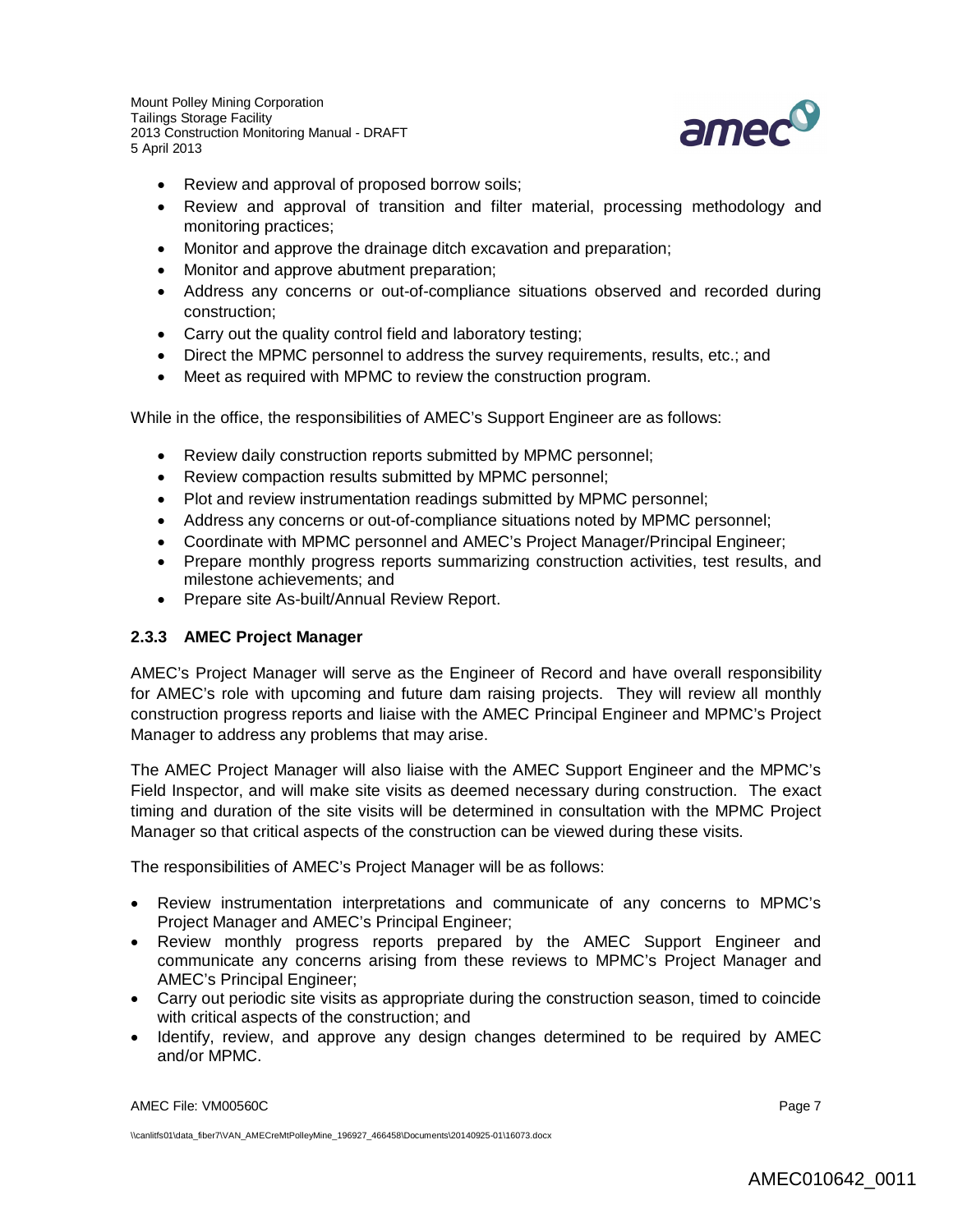

- Review and approval of proposed borrow soils;
- Review and approval of transition and filter material, processing methodology and monitoring practices;
- Monitor and approve the drainage ditch excavation and preparation;
- Monitor and approve abutment preparation;
- Address any concerns or out-of-compliance situations observed and recorded during construction;
- Carry out the quality control field and laboratory testing;
- Direct the MPMC personnel to address the survey requirements, results, etc.; and
- Meet as required with MPMC to review the construction program.

While in the office, the responsibilities of AMEC's Support Engineer are as follows:

- Review daily construction reports submitted by MPMC personnel;
- Review compaction results submitted by MPMC personnel;
- Plot and review instrumentation readings submitted by MPMC personnel;
- Address any concerns or out-of-compliance situations noted by MPMC personnel;
- Coordinate with MPMC personnel and AMEC's Project Manager/Principal Engineer;
- Prepare monthly progress reports summarizing construction activities, test results, and milestone achievements; and
- Prepare site As-built/Annual Review Report.

### **2.3.3 AMEC Project Manager**

AMEC's Project Manager will serve as the Engineer of Record and have overall responsibility for AMEC's role with upcoming and future dam raising projects. They will review all monthly construction progress reports and liaise with the AMEC Principal Engineer and MPMC's Project Manager to address any problems that may arise.

The AMEC Project Manager will also liaise with the AMEC Support Engineer and the MPMC's Field Inspector, and will make site visits as deemed necessary during construction. The exact timing and duration of the site visits will be determined in consultation with the MPMC Project Manager so that critical aspects of the construction can be viewed during these visits.

The responsibilities of AMEC's Project Manager will be as follows:

- Review instrumentation interpretations and communicate of any concerns to MPMC's Project Manager and AMEC's Principal Engineer;
- Review monthly progress reports prepared by the AMEC Support Engineer and communicate any concerns arising from these reviews to MPMC's Project Manager and AMEC's Principal Engineer;
- Carry out periodic site visits as appropriate during the construction season, timed to coincide with critical aspects of the construction; and
- Identify, review, and approve any design changes determined to be required by AMEC and/or MPMC.

AMEC File: VM00560C Page 7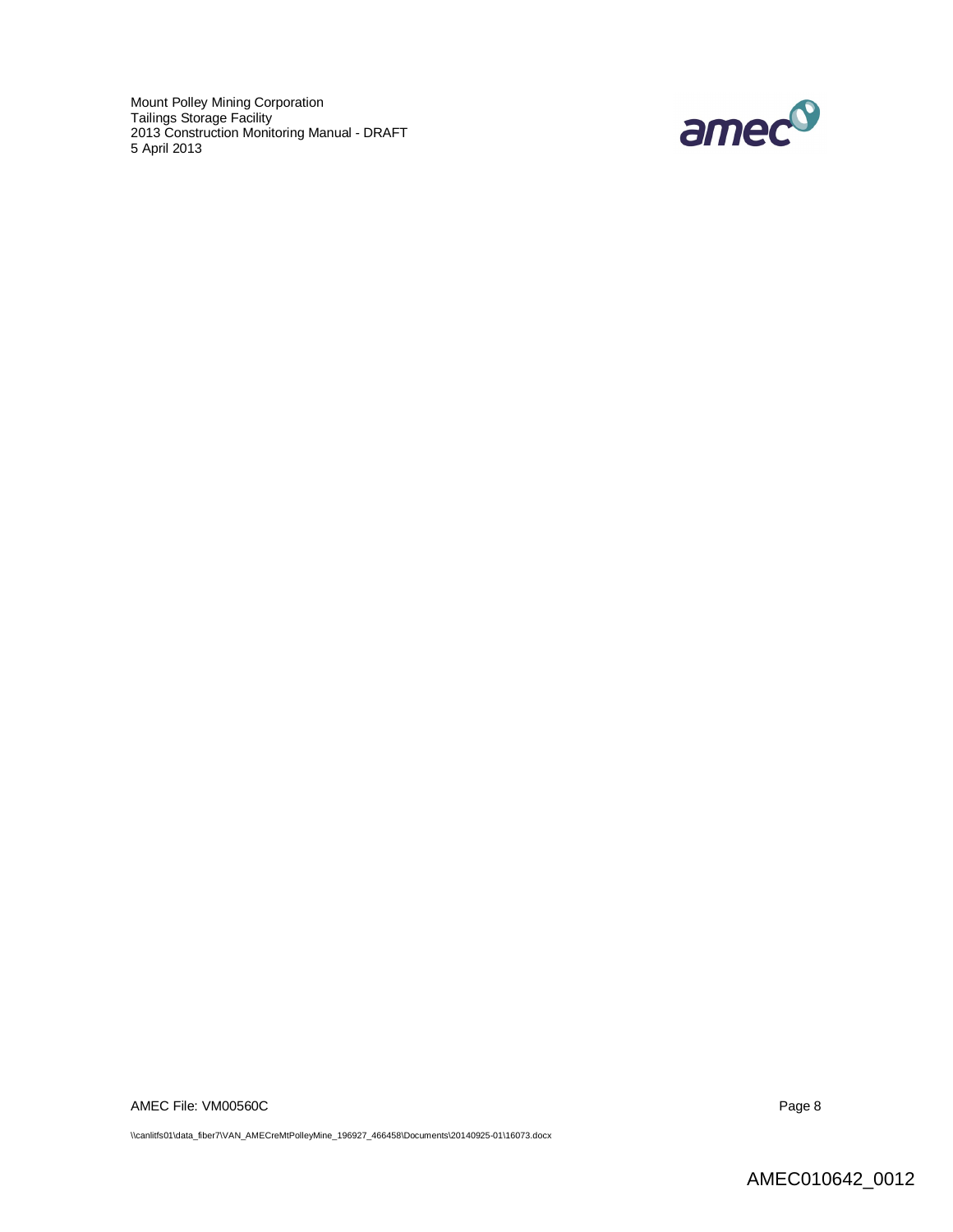

AMEC File: VM00560C Page 8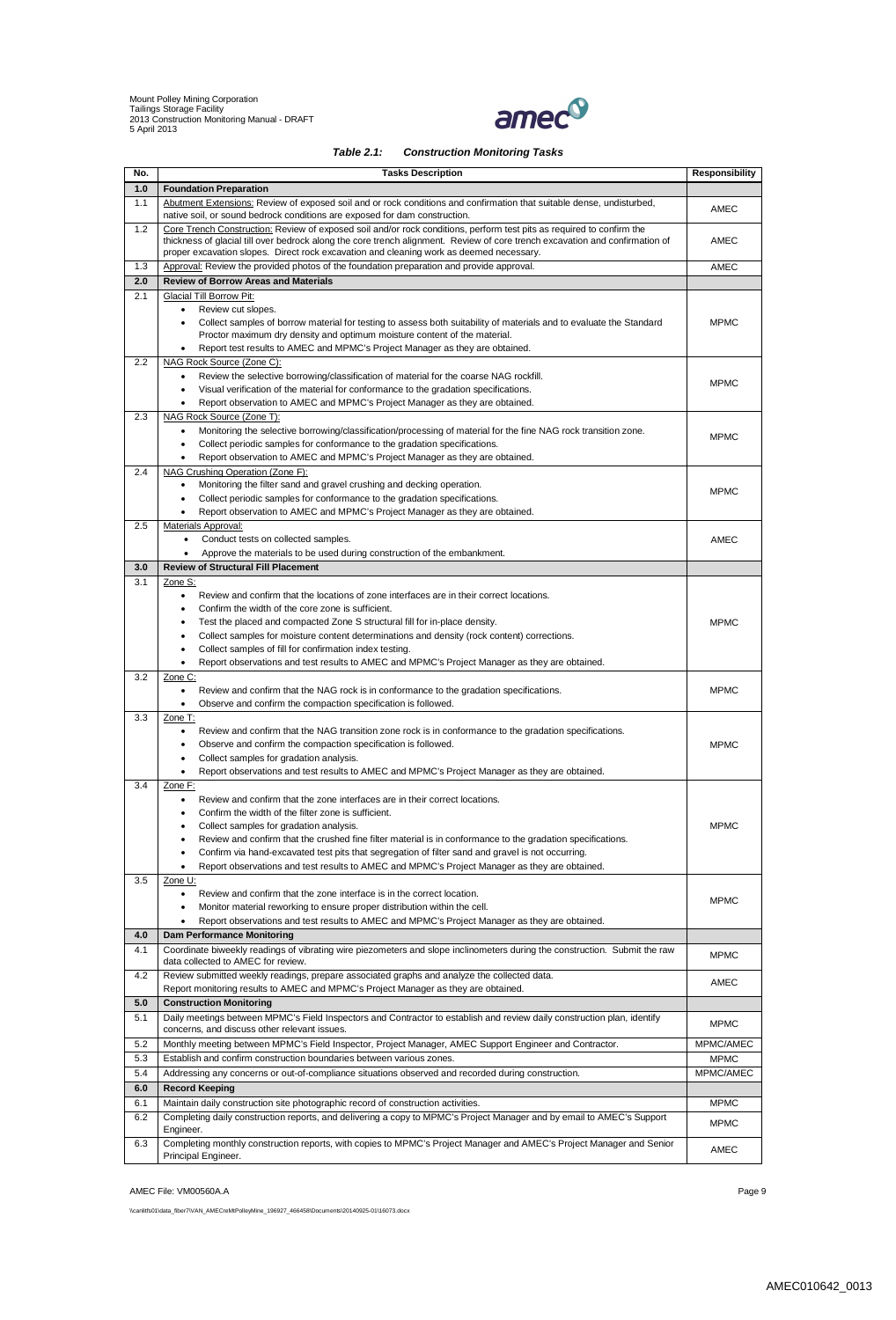

# *Table 2.1: Construction Monitoring Tasks*

| No.        | <b>Responsibility</b><br><b>Tasks Description</b>                                                                                                                                                                                                                                                                                                |             |  |
|------------|--------------------------------------------------------------------------------------------------------------------------------------------------------------------------------------------------------------------------------------------------------------------------------------------------------------------------------------------------|-------------|--|
| 1.0        | <b>Foundation Preparation</b>                                                                                                                                                                                                                                                                                                                    |             |  |
| 1.1        | Abutment Extensions: Review of exposed soil and or rock conditions and confirmation that suitable dense, undisturbed,<br>native soil, or sound bedrock conditions are exposed for dam construction.                                                                                                                                              | <b>AMEC</b> |  |
| 1.2        | Core Trench Construction: Review of exposed soil and/or rock conditions, perform test pits as required to confirm the<br>thickness of glacial till over bedrock along the core trench alignment. Review of core trench excavation and confirmation of<br>proper excavation slopes. Direct rock excavation and cleaning work as deemed necessary. | <b>AMEC</b> |  |
| 1.3        | Approval: Review the provided photos of the foundation preparation and provide approval.                                                                                                                                                                                                                                                         | <b>AMEC</b> |  |
| 2.0        | <b>Review of Borrow Areas and Materials</b>                                                                                                                                                                                                                                                                                                      |             |  |
| 2.1        | <b>Glacial Till Borrow Pit:</b>                                                                                                                                                                                                                                                                                                                  |             |  |
|            | Review cut slopes.<br>$\bullet$                                                                                                                                                                                                                                                                                                                  |             |  |
|            | Collect samples of borrow material for testing to assess both suitability of materials and to evaluate the Standard<br>$\bullet$<br>Proctor maximum dry density and optimum moisture content of the material.                                                                                                                                    | <b>MPMC</b> |  |
|            | Report test results to AMEC and MPMC's Project Manager as they are obtained.                                                                                                                                                                                                                                                                     |             |  |
| 2.2        | NAG Rock Source (Zone C):<br>Review the selective borrowing/classification of material for the coarse NAG rockfill.<br>$\bullet$                                                                                                                                                                                                                 |             |  |
|            | Visual verification of the material for conformance to the gradation specifications.<br>$\bullet$                                                                                                                                                                                                                                                | <b>MPMC</b> |  |
|            | Report observation to AMEC and MPMC's Project Manager as they are obtained.<br>$\bullet$                                                                                                                                                                                                                                                         |             |  |
| 2.3        | NAG Rock Source (Zone T):                                                                                                                                                                                                                                                                                                                        |             |  |
|            | Monitoring the selective borrowing/classification/processing of material for the fine NAG rock transition zone.<br>$\bullet$                                                                                                                                                                                                                     | <b>MPMC</b> |  |
|            | Collect periodic samples for conformance to the gradation specifications.<br>$\bullet$                                                                                                                                                                                                                                                           |             |  |
| 2.4        | Report observation to AMEC and MPMC's Project Manager as they are obtained.<br>NAG Crushing Operation (Zone F):                                                                                                                                                                                                                                  |             |  |
|            | Monitoring the filter sand and gravel crushing and decking operation.<br>$\bullet$                                                                                                                                                                                                                                                               |             |  |
|            | Collect periodic samples for conformance to the gradation specifications.<br>$\bullet$                                                                                                                                                                                                                                                           | <b>MPMC</b> |  |
|            | Report observation to AMEC and MPMC's Project Manager as they are obtained.<br>$\bullet$                                                                                                                                                                                                                                                         |             |  |
| 2.5        | Materials Approval:                                                                                                                                                                                                                                                                                                                              |             |  |
|            | Conduct tests on collected samples.<br>$\bullet$                                                                                                                                                                                                                                                                                                 | AMEC        |  |
| 3.0        | Approve the materials to be used during construction of the embankment.<br><b>Review of Structural Fill Placement</b>                                                                                                                                                                                                                            |             |  |
| 3.1        | Zone S:                                                                                                                                                                                                                                                                                                                                          |             |  |
|            | Review and confirm that the locations of zone interfaces are in their correct locations.<br>$\bullet$                                                                                                                                                                                                                                            |             |  |
|            | Confirm the width of the core zone is sufficient.<br>٠                                                                                                                                                                                                                                                                                           |             |  |
|            | Test the placed and compacted Zone S structural fill for in-place density.<br>٠                                                                                                                                                                                                                                                                  | <b>MPMC</b> |  |
|            | Collect samples for moisture content determinations and density (rock content) corrections.<br>$\bullet$                                                                                                                                                                                                                                         |             |  |
|            | Collect samples of fill for confirmation index testing.<br>$\bullet$<br>Report observations and test results to AMEC and MPMC's Project Manager as they are obtained.<br>$\bullet$                                                                                                                                                               |             |  |
| 3.2        | Zone C:                                                                                                                                                                                                                                                                                                                                          |             |  |
|            | Review and confirm that the NAG rock is in conformance to the gradation specifications.<br>$\bullet$                                                                                                                                                                                                                                             | <b>MPMC</b> |  |
|            | Observe and confirm the compaction specification is followed.<br>$\bullet$                                                                                                                                                                                                                                                                       |             |  |
| 3.3        | Zone T:                                                                                                                                                                                                                                                                                                                                          |             |  |
|            | Review and confirm that the NAG transition zone rock is in conformance to the gradation specifications.<br>$\bullet$<br>Observe and confirm the compaction specification is followed.<br>٠                                                                                                                                                       | <b>MPMC</b> |  |
|            | Collect samples for gradation analysis.<br>$\bullet$                                                                                                                                                                                                                                                                                             |             |  |
|            | Report observations and test results to AMEC and MPMC's Project Manager as they are obtained.<br>$\bullet$                                                                                                                                                                                                                                       |             |  |
| 3.4        | Zone F:                                                                                                                                                                                                                                                                                                                                          |             |  |
|            | Review and confirm that the zone interfaces are in their correct locations.<br>$\bullet$                                                                                                                                                                                                                                                         |             |  |
|            | Confirm the width of the filter zone is sufficient.<br>$\bullet$                                                                                                                                                                                                                                                                                 |             |  |
|            | Collect samples for gradation analysis.<br>$\bullet$<br>Review and confirm that the crushed fine filter material is in conformance to the gradation specifications.<br>$\bullet$                                                                                                                                                                 | <b>MPMC</b> |  |
|            | Confirm via hand-excavated test pits that segregation of filter sand and gravel is not occurring.<br>$\bullet$                                                                                                                                                                                                                                   |             |  |
|            | Report observations and test results to AMEC and MPMC's Project Manager as they are obtained.                                                                                                                                                                                                                                                    |             |  |
| 3.5        | Zone U:                                                                                                                                                                                                                                                                                                                                          |             |  |
|            | Review and confirm that the zone interface is in the correct location.<br>$\bullet$                                                                                                                                                                                                                                                              | <b>MPMC</b> |  |
|            | Monitor material reworking to ensure proper distribution within the cell.<br>$\bullet$<br>Report observations and test results to AMEC and MPMC's Project Manager as they are obtained.<br>$\bullet$                                                                                                                                             |             |  |
| 4.0        | <b>Dam Performance Monitoring</b>                                                                                                                                                                                                                                                                                                                |             |  |
| 4.1        | Coordinate biweekly readings of vibrating wire piezometers and slope inclinometers during the construction. Submit the raw                                                                                                                                                                                                                       |             |  |
|            | data collected to AMEC for review.                                                                                                                                                                                                                                                                                                               | <b>MPMC</b> |  |
| 4.2        | Review submitted weekly readings, prepare associated graphs and analyze the collected data.                                                                                                                                                                                                                                                      | <b>AMEC</b> |  |
|            | Report monitoring results to AMEC and MPMC's Project Manager as they are obtained.                                                                                                                                                                                                                                                               |             |  |
| 5.0<br>5.1 | <b>Construction Monitoring</b><br>Daily meetings between MPMC's Field Inspectors and Contractor to establish and review daily construction plan, identify                                                                                                                                                                                        |             |  |
|            | concerns, and discuss other relevant issues.                                                                                                                                                                                                                                                                                                     | <b>MPMC</b> |  |
| 5.2        | Monthly meeting between MPMC's Field Inspector, Project Manager, AMEC Support Engineer and Contractor.                                                                                                                                                                                                                                           | MPMC/AMEC   |  |
| 5.3        | Establish and confirm construction boundaries between various zones.                                                                                                                                                                                                                                                                             | <b>MPMC</b> |  |
| 5.4        | Addressing any concerns or out-of-compliance situations observed and recorded during construction.<br>MPMC/AMEC                                                                                                                                                                                                                                  |             |  |
| 6.0        | <b>Record Keeping</b>                                                                                                                                                                                                                                                                                                                            |             |  |
| 6.1        | Maintain daily construction site photographic record of construction activities.                                                                                                                                                                                                                                                                 | <b>MPMC</b> |  |
| 6.2        | Completing daily construction reports, and delivering a copy to MPMC's Project Manager and by email to AMEC's Support                                                                                                                                                                                                                            | <b>MPMC</b> |  |
| 6.3        | Engineer.<br>Completing monthly construction reports, with copies to MPMC's Project Manager and AMEC's Project Manager and Senior                                                                                                                                                                                                                |             |  |
|            | Principal Engineer.                                                                                                                                                                                                                                                                                                                              | AMEC        |  |

## AMEC File: VM00560A.A Page 9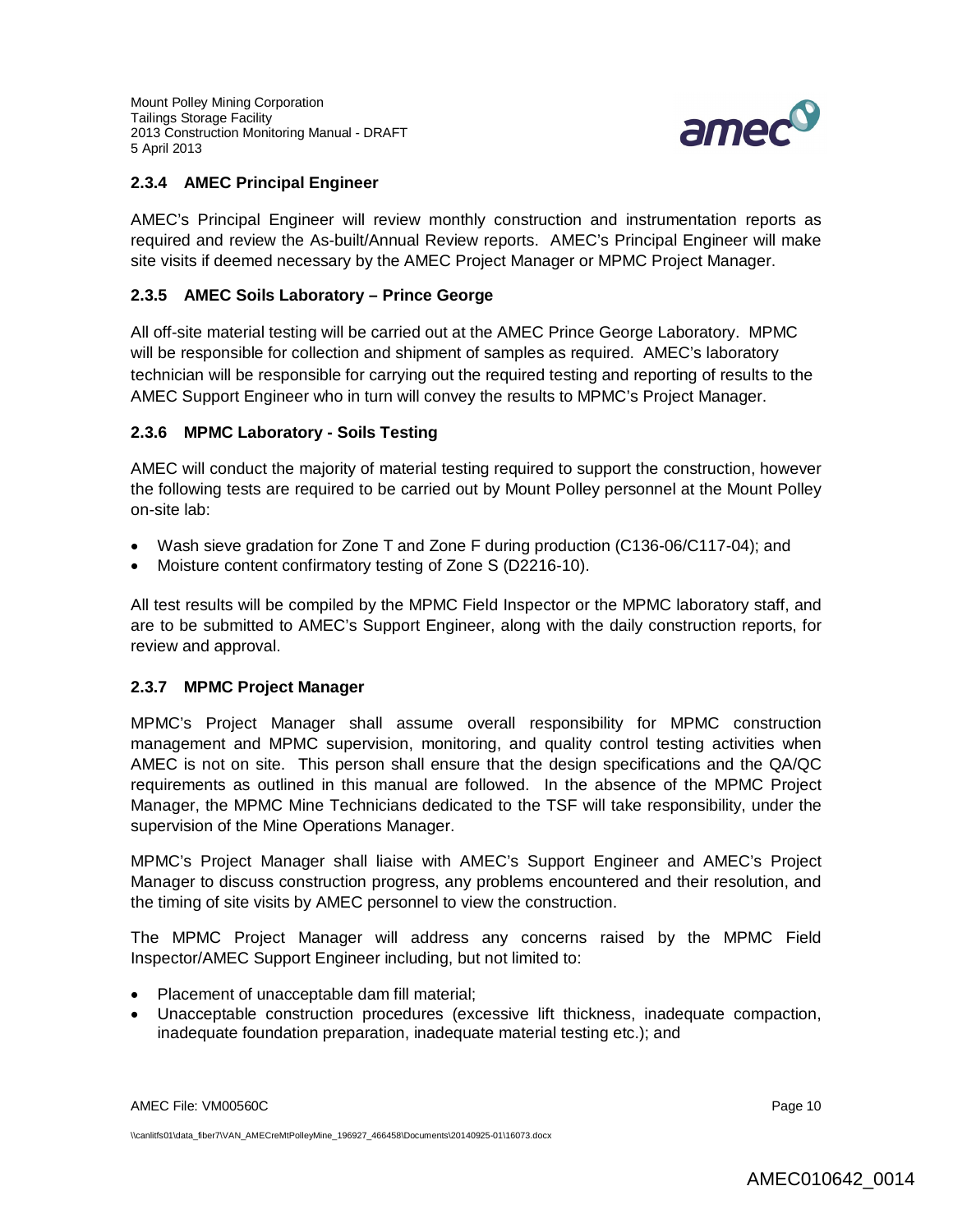

### **2.3.4 AMEC Principal Engineer**

AMEC's Principal Engineer will review monthly construction and instrumentation reports as required and review the As-built/Annual Review reports. AMEC's Principal Engineer will make site visits if deemed necessary by the AMEC Project Manager or MPMC Project Manager.

### **2.3.5 AMEC Soils Laboratory – Prince George**

All off-site material testing will be carried out at the AMEC Prince George Laboratory. MPMC will be responsible for collection and shipment of samples as required. AMEC's laboratory technician will be responsible for carrying out the required testing and reporting of results to the AMEC Support Engineer who in turn will convey the results to MPMC's Project Manager.

### **2.3.6 MPMC Laboratory - Soils Testing**

AMEC will conduct the majority of material testing required to support the construction, however the following tests are required to be carried out by Mount Polley personnel at the Mount Polley on-site lab:

- Wash sieve gradation for Zone T and Zone F during production (C136-06/C117-04); and
- Moisture content confirmatory testing of Zone S (D2216-10).

All test results will be compiled by the MPMC Field Inspector or the MPMC laboratory staff, and are to be submitted to AMEC's Support Engineer, along with the daily construction reports, for review and approval.

### **2.3.7 MPMC Project Manager**

MPMC's Project Manager shall assume overall responsibility for MPMC construction management and MPMC supervision, monitoring, and quality control testing activities when AMEC is not on site. This person shall ensure that the design specifications and the QA/QC requirements as outlined in this manual are followed. In the absence of the MPMC Project Manager, the MPMC Mine Technicians dedicated to the TSF will take responsibility, under the supervision of the Mine Operations Manager.

MPMC's Project Manager shall liaise with AMEC's Support Engineer and AMEC's Project Manager to discuss construction progress, any problems encountered and their resolution, and the timing of site visits by AMEC personnel to view the construction.

The MPMC Project Manager will address any concerns raised by the MPMC Field Inspector/AMEC Support Engineer including, but not limited to:

- Placement of unacceptable dam fill material;
- Unacceptable construction procedures (excessive lift thickness, inadequate compaction, inadequate foundation preparation, inadequate material testing etc.); and

AMEC File: VM00560C Page 10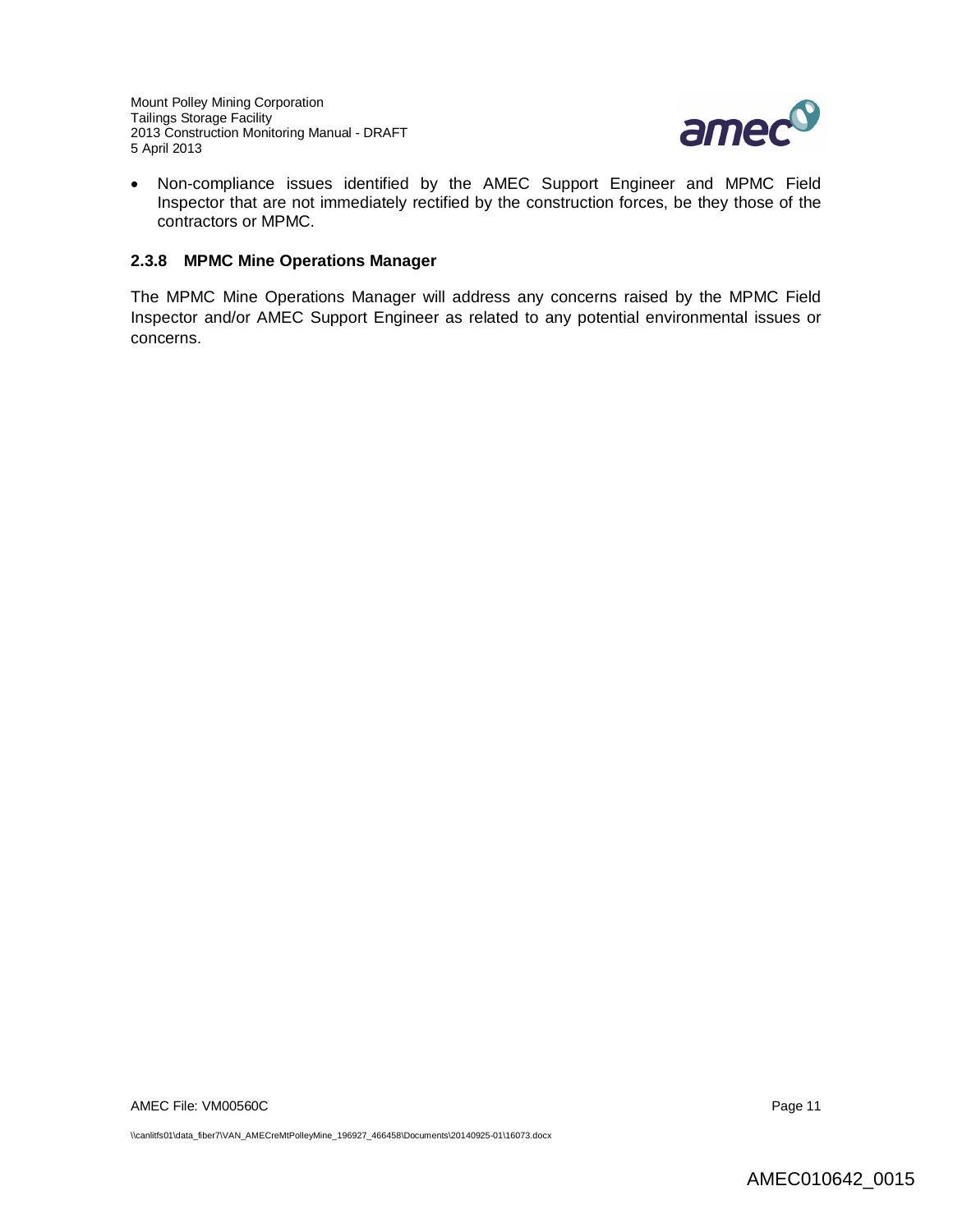

 Non-compliance issues identified by the AMEC Support Engineer and MPMC Field Inspector that are not immediately rectified by the construction forces, be they those of the contractors or MPMC.

#### **2.3.8 MPMC Mine Operations Manager**

The MPMC Mine Operations Manager will address any concerns raised by the MPMC Field Inspector and/or AMEC Support Engineer as related to any potential environmental issues or concerns.

AMEC File: VM00560C Page 11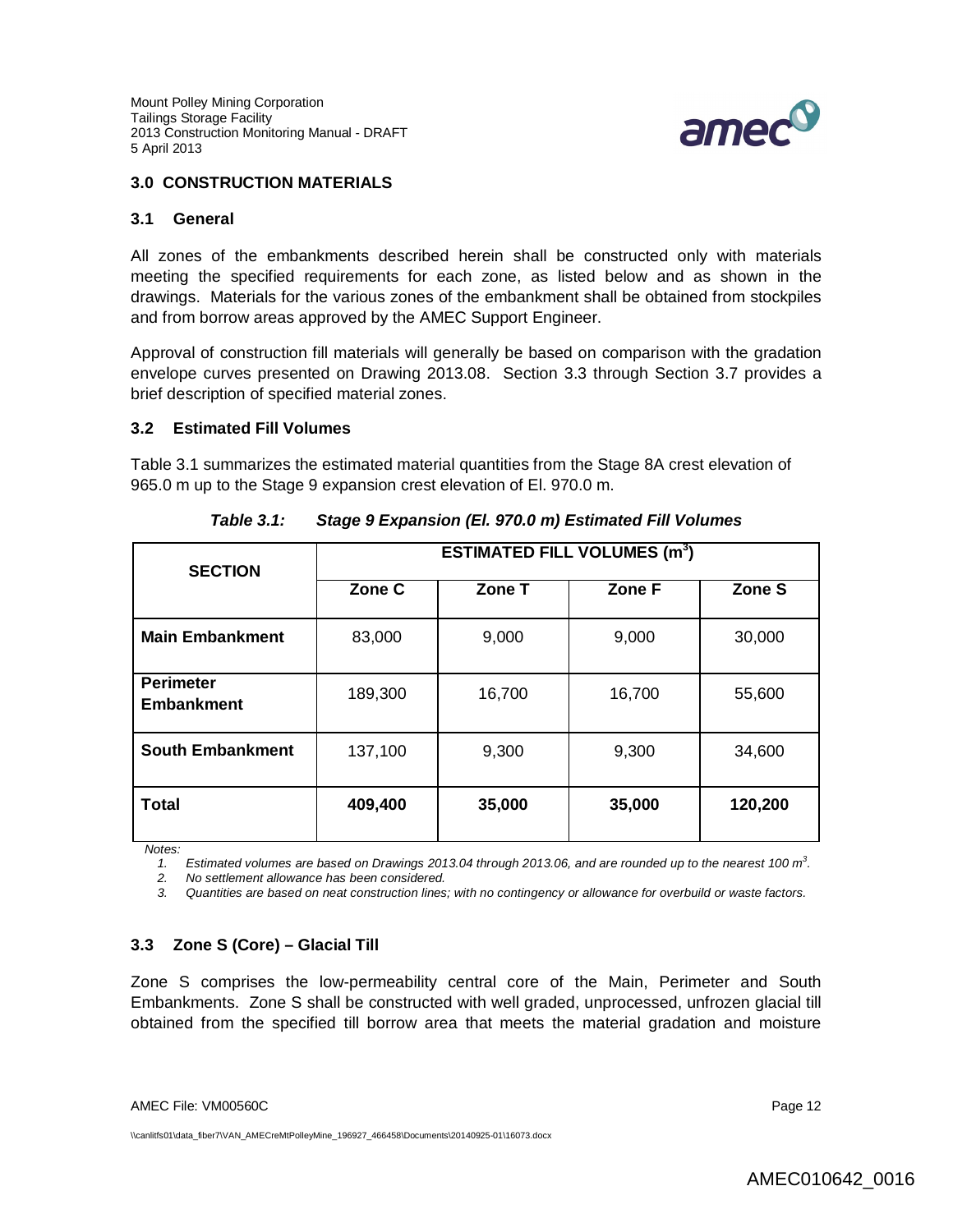

#### **3.0 CONSTRUCTION MATERIALS**

#### **3.1 General**

All zones of the embankments described herein shall be constructed only with materials meeting the specified requirements for each zone, as listed below and as shown in the drawings. Materials for the various zones of the embankment shall be obtained from stockpiles and from borrow areas approved by the AMEC Support Engineer.

Approval of construction fill materials will generally be based on comparison with the gradation envelope curves presented on Drawing 2013.08. Section 3.3 through Section 3.7 provides a brief description of specified material zones.

### **3.2 Estimated Fill Volumes**

Table 3.1 summarizes the estimated material quantities from the Stage 8A crest elevation of 965.0 m up to the Stage 9 expansion crest elevation of El. 970.0 m.

| <b>SECTION</b>                        | <b>ESTIMATED FILL VOLUMES (m<sup>3</sup>)</b> |        |        |         |  |
|---------------------------------------|-----------------------------------------------|--------|--------|---------|--|
|                                       | Zone C                                        | Zone T | Zone F | Zone S  |  |
| <b>Main Embankment</b>                | 83,000                                        | 9,000  | 9,000  | 30,000  |  |
| <b>Perimeter</b><br><b>Embankment</b> | 189,300                                       | 16,700 | 16,700 | 55,600  |  |
| <b>South Embankment</b>               | 137,100                                       | 9,300  | 9,300  | 34,600  |  |
| <b>Total</b>                          | 409,400                                       | 35,000 | 35,000 | 120,200 |  |

*Table 3.1: Stage 9 Expansion (El. 970.0 m) Estimated Fill Volumes*

*Notes:*

*1. Estimated volumes are based on Drawings 2013.04 through 2013.06, and are rounded up to the nearest 100 m<sup>3</sup> .* 

*2. No settlement allowance has been considered.*

*3. Quantities are based on neat construction lines; with no contingency or allowance for overbuild or waste factors.*

### **3.3 Zone S (Core) – Glacial Till**

Zone S comprises the low-permeability central core of the Main, Perimeter and South Embankments. Zone S shall be constructed with well graded, unprocessed, unfrozen glacial till obtained from the specified till borrow area that meets the material gradation and moisture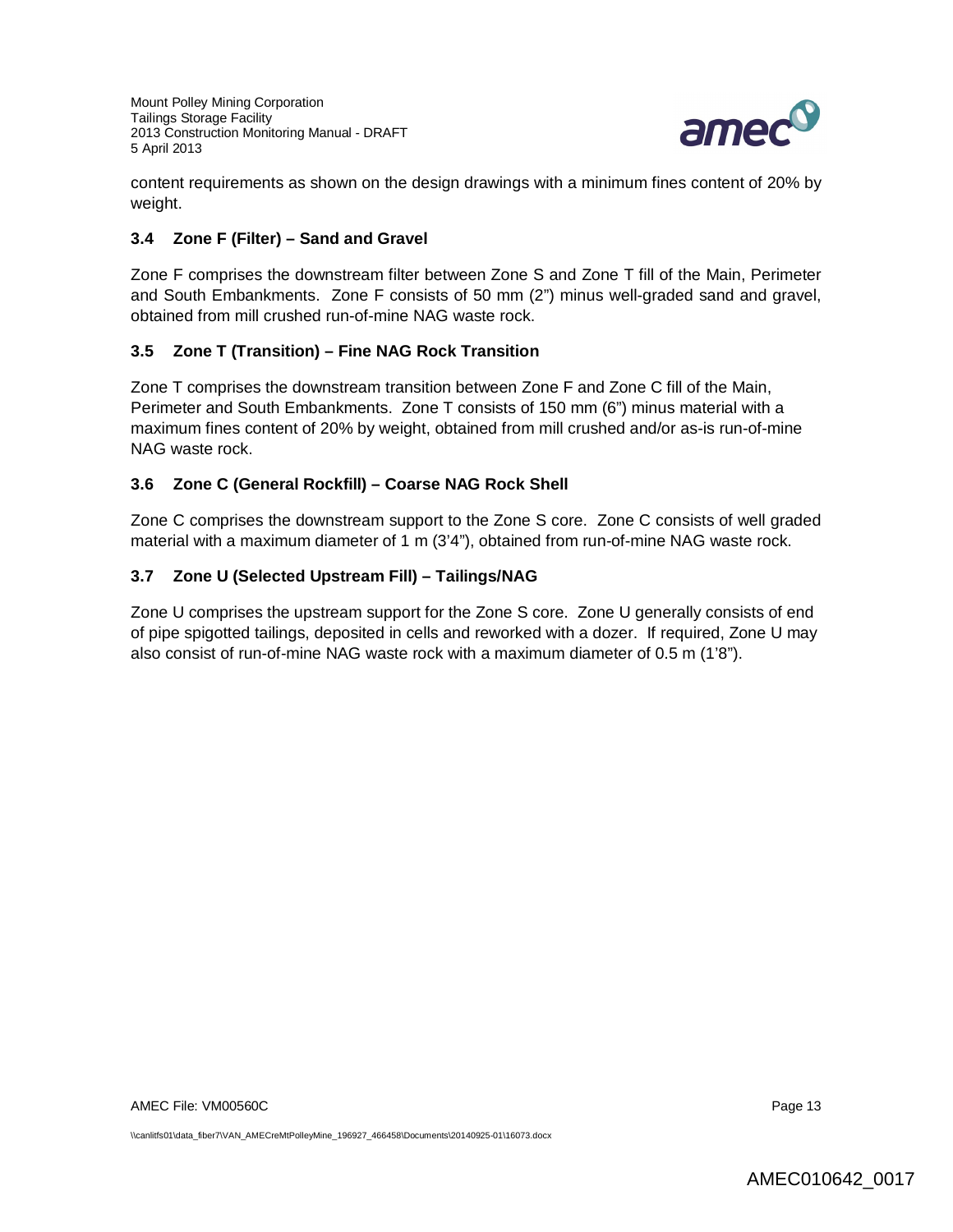

content requirements as shown on the design drawings with a minimum fines content of 20% by weight.

### **3.4 Zone F (Filter) – Sand and Gravel**

Zone F comprises the downstream filter between Zone S and Zone T fill of the Main, Perimeter and South Embankments. Zone F consists of 50 mm (2") minus well-graded sand and gravel, obtained from mill crushed run-of-mine NAG waste rock.

### **3.5 Zone T (Transition) – Fine NAG Rock Transition**

Zone T comprises the downstream transition between Zone F and Zone C fill of the Main, Perimeter and South Embankments. Zone T consists of 150 mm (6") minus material with a maximum fines content of 20% by weight, obtained from mill crushed and/or as-is run-of-mine NAG waste rock.

### **3.6 Zone C (General Rockfill) – Coarse NAG Rock Shell**

Zone C comprises the downstream support to the Zone S core. Zone C consists of well graded material with a maximum diameter of 1 m (3'4"), obtained from run-of-mine NAG waste rock.

### **3.7 Zone U (Selected Upstream Fill) – Tailings/NAG**

Zone U comprises the upstream support for the Zone S core. Zone U generally consists of end of pipe spigotted tailings, deposited in cells and reworked with a dozer. If required, Zone U may also consist of run-of-mine NAG waste rock with a maximum diameter of 0.5 m (1'8").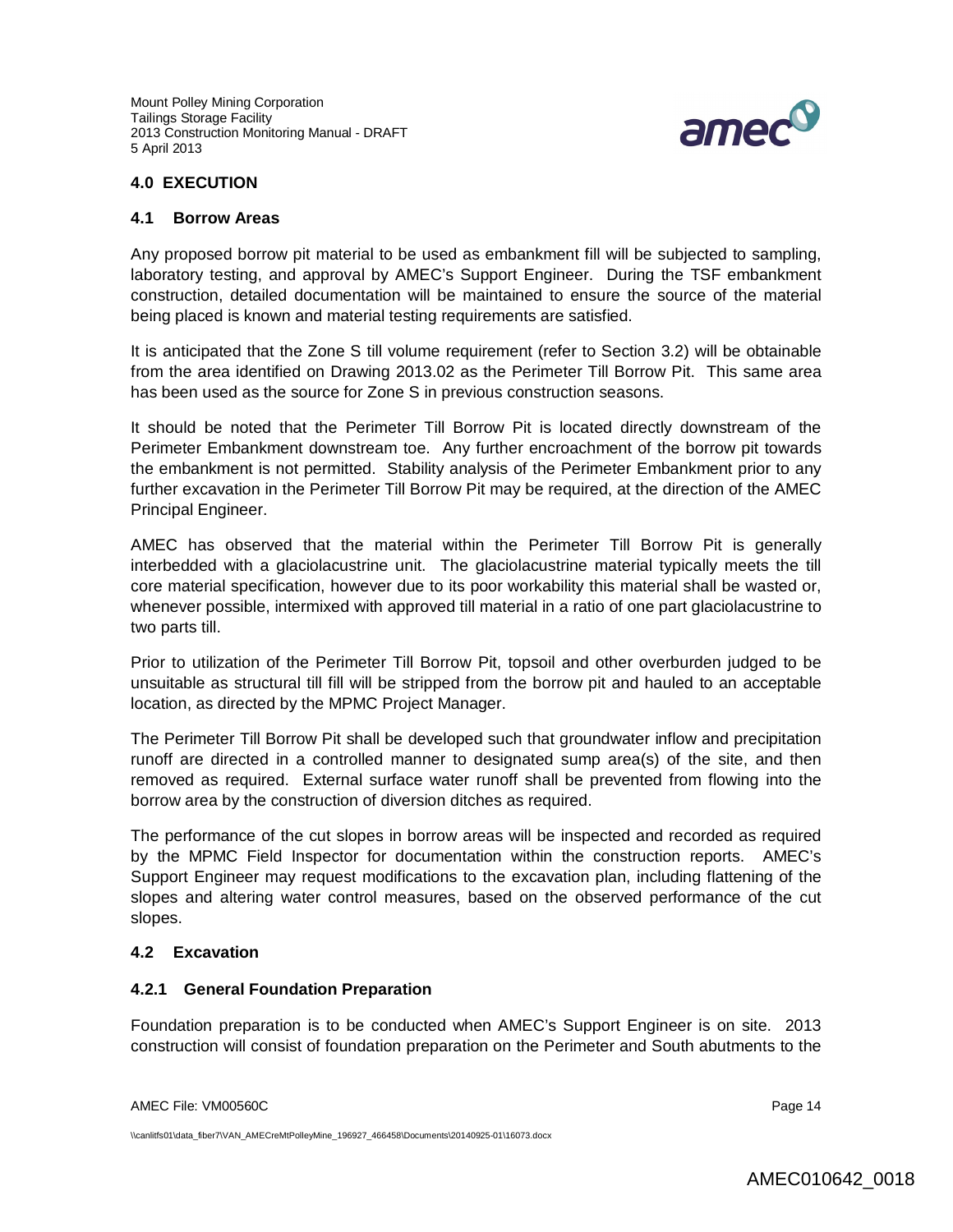

#### **4.0 EXECUTION**

#### **4.1 Borrow Areas**

Any proposed borrow pit material to be used as embankment fill will be subjected to sampling, laboratory testing, and approval by AMEC's Support Engineer. During the TSF embankment construction, detailed documentation will be maintained to ensure the source of the material being placed is known and material testing requirements are satisfied.

It is anticipated that the Zone S till volume requirement (refer to Section 3.2) will be obtainable from the area identified on Drawing 2013.02 as the Perimeter Till Borrow Pit. This same area has been used as the source for Zone S in previous construction seasons.

It should be noted that the Perimeter Till Borrow Pit is located directly downstream of the Perimeter Embankment downstream toe. Any further encroachment of the borrow pit towards the embankment is not permitted. Stability analysis of the Perimeter Embankment prior to any further excavation in the Perimeter Till Borrow Pit may be required, at the direction of the AMEC Principal Engineer.

AMEC has observed that the material within the Perimeter Till Borrow Pit is generally interbedded with a glaciolacustrine unit. The glaciolacustrine material typically meets the till core material specification, however due to its poor workability this material shall be wasted or, whenever possible, intermixed with approved till material in a ratio of one part glaciolacustrine to two parts till.

Prior to utilization of the Perimeter Till Borrow Pit, topsoil and other overburden judged to be unsuitable as structural till fill will be stripped from the borrow pit and hauled to an acceptable location, as directed by the MPMC Project Manager.

The Perimeter Till Borrow Pit shall be developed such that groundwater inflow and precipitation runoff are directed in a controlled manner to designated sump area(s) of the site, and then removed as required. External surface water runoff shall be prevented from flowing into the borrow area by the construction of diversion ditches as required.

The performance of the cut slopes in borrow areas will be inspected and recorded as required by the MPMC Field Inspector for documentation within the construction reports. AMEC's Support Engineer may request modifications to the excavation plan, including flattening of the slopes and altering water control measures, based on the observed performance of the cut slopes.

#### **4.2 Excavation**

#### **4.2.1 General Foundation Preparation**

Foundation preparation is to be conducted when AMEC's Support Engineer is on site. 2013 construction will consist of foundation preparation on the Perimeter and South abutments to the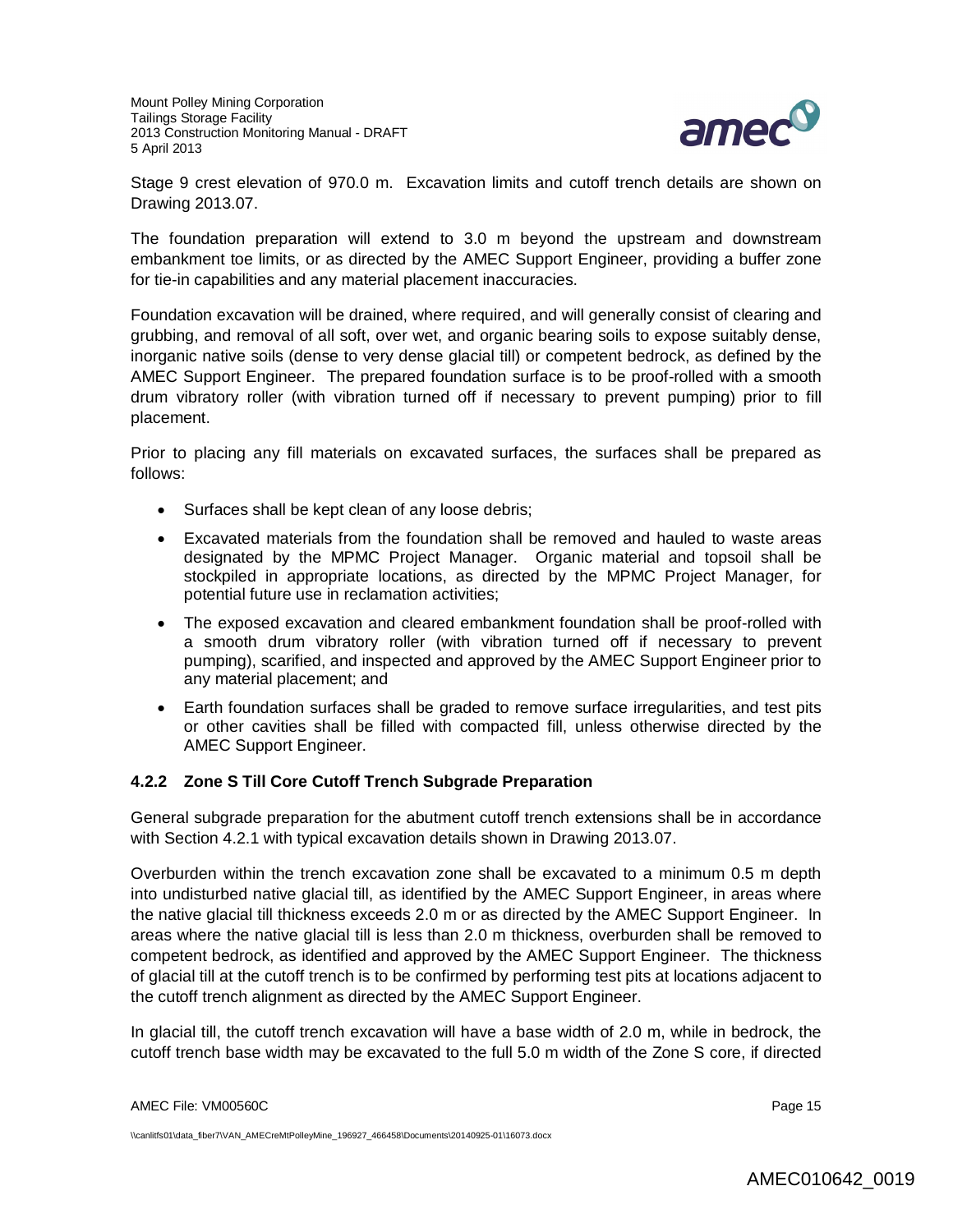

Stage 9 crest elevation of 970.0 m. Excavation limits and cutoff trench details are shown on Drawing 2013.07.

The foundation preparation will extend to 3.0 m beyond the upstream and downstream embankment toe limits, or as directed by the AMEC Support Engineer, providing a buffer zone for tie-in capabilities and any material placement inaccuracies.

Foundation excavation will be drained, where required, and will generally consist of clearing and grubbing, and removal of all soft, over wet, and organic bearing soils to expose suitably dense, inorganic native soils (dense to very dense glacial till) or competent bedrock, as defined by the AMEC Support Engineer. The prepared foundation surface is to be proof-rolled with a smooth drum vibratory roller (with vibration turned off if necessary to prevent pumping) prior to fill placement.

Prior to placing any fill materials on excavated surfaces, the surfaces shall be prepared as follows:

- Surfaces shall be kept clean of any loose debris;
- Excavated materials from the foundation shall be removed and hauled to waste areas designated by the MPMC Project Manager. Organic material and topsoil shall be stockpiled in appropriate locations, as directed by the MPMC Project Manager, for potential future use in reclamation activities;
- The exposed excavation and cleared embankment foundation shall be proof-rolled with a smooth drum vibratory roller (with vibration turned off if necessary to prevent pumping), scarified, and inspected and approved by the AMEC Support Engineer prior to any material placement; and
- Earth foundation surfaces shall be graded to remove surface irregularities, and test pits or other cavities shall be filled with compacted fill, unless otherwise directed by the AMEC Support Engineer.

#### **4.2.2 Zone S Till Core Cutoff Trench Subgrade Preparation**

General subgrade preparation for the abutment cutoff trench extensions shall be in accordance with Section 4.2.1 with typical excavation details shown in Drawing 2013.07.

Overburden within the trench excavation zone shall be excavated to a minimum 0.5 m depth into undisturbed native glacial till, as identified by the AMEC Support Engineer, in areas where the native glacial till thickness exceeds 2.0 m or as directed by the AMEC Support Engineer. In areas where the native glacial till is less than 2.0 m thickness, overburden shall be removed to competent bedrock, as identified and approved by the AMEC Support Engineer. The thickness of glacial till at the cutoff trench is to be confirmed by performing test pits at locations adjacent to the cutoff trench alignment as directed by the AMEC Support Engineer.

In glacial till, the cutoff trench excavation will have a base width of 2.0 m, while in bedrock, the cutoff trench base width may be excavated to the full 5.0 m width of the Zone S core, if directed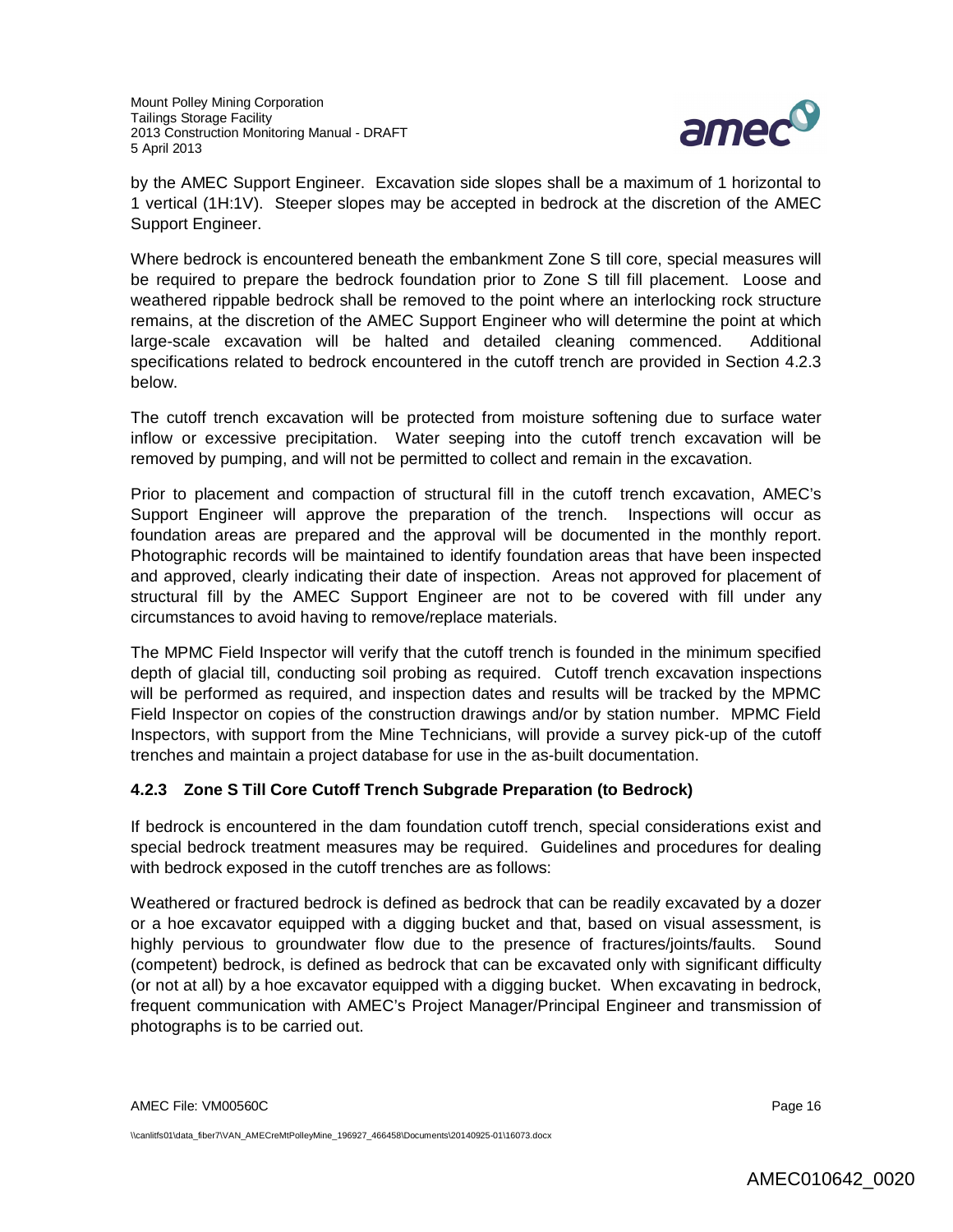

by the AMEC Support Engineer. Excavation side slopes shall be a maximum of 1 horizontal to 1 vertical (1H:1V). Steeper slopes may be accepted in bedrock at the discretion of the AMEC Support Engineer.

Where bedrock is encountered beneath the embankment Zone S till core, special measures will be required to prepare the bedrock foundation prior to Zone S till fill placement. Loose and weathered rippable bedrock shall be removed to the point where an interlocking rock structure remains, at the discretion of the AMEC Support Engineer who will determine the point at which large-scale excavation will be halted and detailed cleaning commenced. Additional specifications related to bedrock encountered in the cutoff trench are provided in Section 4.2.3 below.

The cutoff trench excavation will be protected from moisture softening due to surface water inflow or excessive precipitation. Water seeping into the cutoff trench excavation will be removed by pumping, and will not be permitted to collect and remain in the excavation.

Prior to placement and compaction of structural fill in the cutoff trench excavation, AMEC's Support Engineer will approve the preparation of the trench. Inspections will occur as foundation areas are prepared and the approval will be documented in the monthly report. Photographic records will be maintained to identify foundation areas that have been inspected and approved, clearly indicating their date of inspection. Areas not approved for placement of structural fill by the AMEC Support Engineer are not to be covered with fill under any circumstances to avoid having to remove/replace materials.

The MPMC Field Inspector will verify that the cutoff trench is founded in the minimum specified depth of glacial till, conducting soil probing as required. Cutoff trench excavation inspections will be performed as required, and inspection dates and results will be tracked by the MPMC Field Inspector on copies of the construction drawings and/or by station number. MPMC Field Inspectors, with support from the Mine Technicians, will provide a survey pick-up of the cutoff trenches and maintain a project database for use in the as-built documentation.

### **4.2.3 Zone S Till Core Cutoff Trench Subgrade Preparation (to Bedrock)**

If bedrock is encountered in the dam foundation cutoff trench, special considerations exist and special bedrock treatment measures may be required. Guidelines and procedures for dealing with bedrock exposed in the cutoff trenches are as follows:

Weathered or fractured bedrock is defined as bedrock that can be readily excavated by a dozer or a hoe excavator equipped with a digging bucket and that, based on visual assessment, is highly pervious to groundwater flow due to the presence of fractures/joints/faults. Sound (competent) bedrock, is defined as bedrock that can be excavated only with significant difficulty (or not at all) by a hoe excavator equipped with a digging bucket. When excavating in bedrock, frequent communication with AMEC's Project Manager/Principal Engineer and transmission of photographs is to be carried out.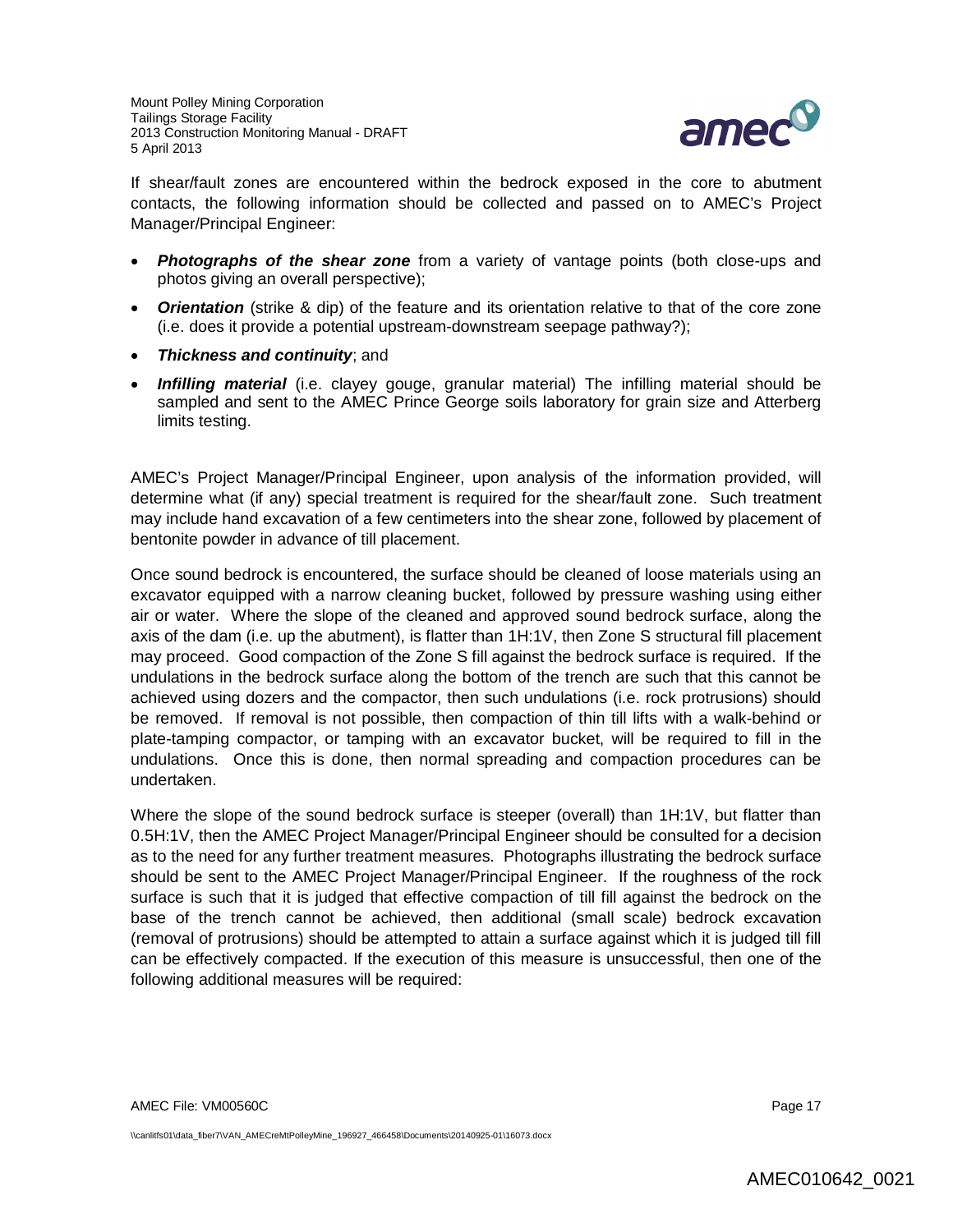

If shear/fault zones are encountered within the bedrock exposed in the core to abutment contacts, the following information should be collected and passed on to AMEC's Project Manager/Principal Engineer:

- *Photographs of the shear zone* from a variety of vantage points (both close-ups and photos giving an overall perspective);
- *Orientation* (strike & dip) of the feature and its orientation relative to that of the core zone (i.e. does it provide a potential upstream-downstream seepage pathway?);
- *Thickness and continuity*; and
- *Infilling material* (i.e. clayey gouge, granular material) The infilling material should be sampled and sent to the AMEC Prince George soils laboratory for grain size and Atterberg limits testing.

AMEC's Project Manager/Principal Engineer, upon analysis of the information provided, will determine what (if any) special treatment is required for the shear/fault zone. Such treatment may include hand excavation of a few centimeters into the shear zone, followed by placement of bentonite powder in advance of till placement.

Once sound bedrock is encountered, the surface should be cleaned of loose materials using an excavator equipped with a narrow cleaning bucket, followed by pressure washing using either air or water. Where the slope of the cleaned and approved sound bedrock surface, along the axis of the dam (i.e. up the abutment), is flatter than 1H:1V, then Zone S structural fill placement may proceed. Good compaction of the Zone S fill against the bedrock surface is required. If the undulations in the bedrock surface along the bottom of the trench are such that this cannot be achieved using dozers and the compactor, then such undulations (i.e. rock protrusions) should be removed. If removal is not possible, then compaction of thin till lifts with a walk-behind or plate-tamping compactor, or tamping with an excavator bucket, will be required to fill in the undulations. Once this is done, then normal spreading and compaction procedures can be undertaken.

Where the slope of the sound bedrock surface is steeper (overall) than 1H:1V, but flatter than 0.5H:1V, then the AMEC Project Manager/Principal Engineer should be consulted for a decision as to the need for any further treatment measures. Photographs illustrating the bedrock surface should be sent to the AMEC Project Manager/Principal Engineer. If the roughness of the rock surface is such that it is judged that effective compaction of till fill against the bedrock on the base of the trench cannot be achieved, then additional (small scale) bedrock excavation (removal of protrusions) should be attempted to attain a surface against which it is judged till fill can be effectively compacted. If the execution of this measure is unsuccessful, then one of the following additional measures will be required: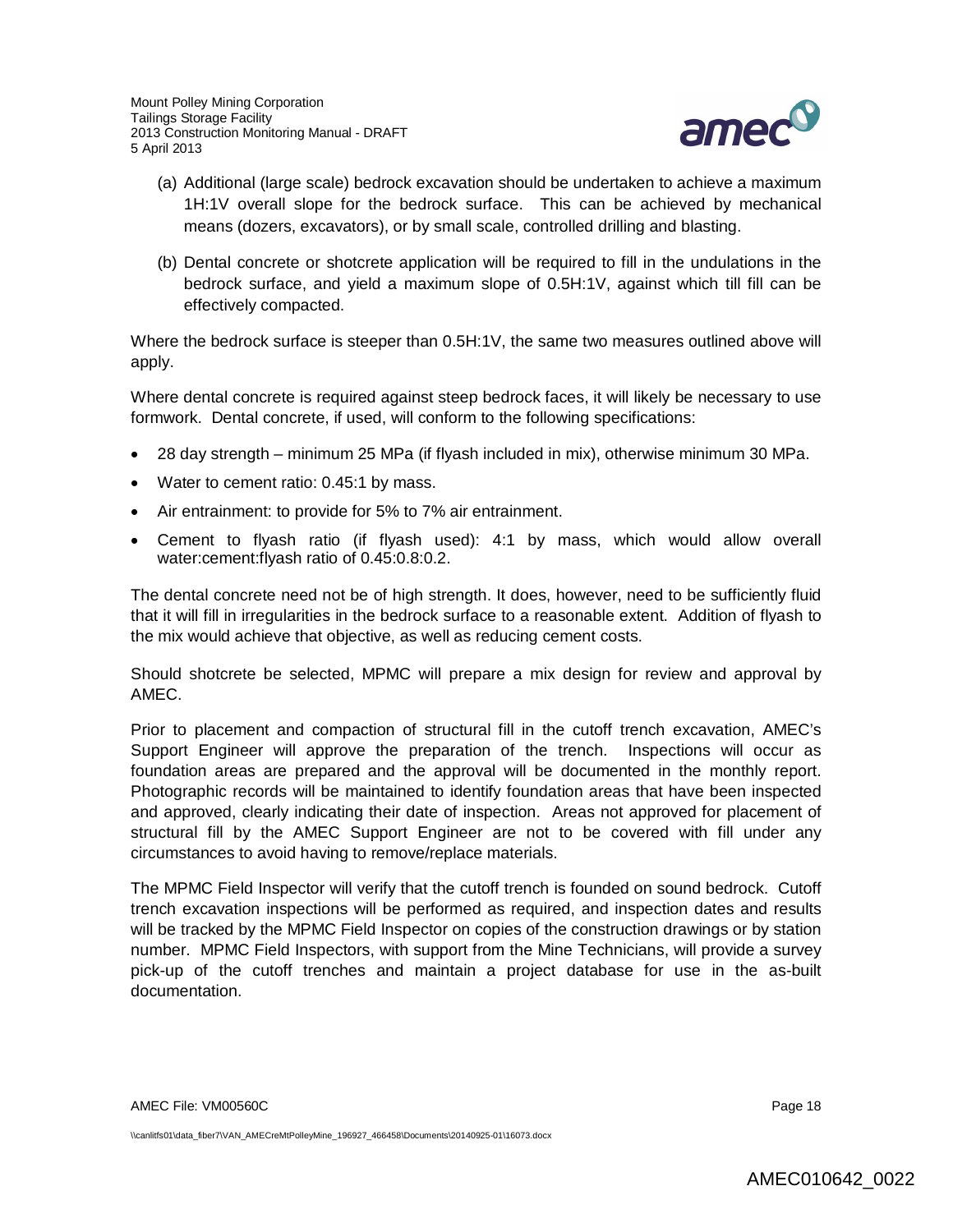

- (a) Additional (large scale) bedrock excavation should be undertaken to achieve a maximum 1H:1V overall slope for the bedrock surface. This can be achieved by mechanical means (dozers, excavators), or by small scale, controlled drilling and blasting.
- (b) Dental concrete or shotcrete application will be required to fill in the undulations in the bedrock surface, and yield a maximum slope of 0.5H:1V, against which till fill can be effectively compacted.

Where the bedrock surface is steeper than 0.5H:1V, the same two measures outlined above will apply.

Where dental concrete is required against steep bedrock faces, it will likely be necessary to use formwork. Dental concrete, if used, will conform to the following specifications:

- 28 day strength minimum 25 MPa (if flyash included in mix), otherwise minimum 30 MPa.
- Water to cement ratio: 0.45:1 by mass.
- Air entrainment: to provide for 5% to 7% air entrainment.
- Cement to flyash ratio (if flyash used): 4:1 by mass, which would allow overall water:cement:flyash ratio of 0.45:0.8:0.2.

The dental concrete need not be of high strength. It does, however, need to be sufficiently fluid that it will fill in irregularities in the bedrock surface to a reasonable extent. Addition of flyash to the mix would achieve that objective, as well as reducing cement costs.

Should shotcrete be selected, MPMC will prepare a mix design for review and approval by AMEC.

Prior to placement and compaction of structural fill in the cutoff trench excavation, AMEC's Support Engineer will approve the preparation of the trench. Inspections will occur as foundation areas are prepared and the approval will be documented in the monthly report. Photographic records will be maintained to identify foundation areas that have been inspected and approved, clearly indicating their date of inspection. Areas not approved for placement of structural fill by the AMEC Support Engineer are not to be covered with fill under any circumstances to avoid having to remove/replace materials.

The MPMC Field Inspector will verify that the cutoff trench is founded on sound bedrock. Cutoff trench excavation inspections will be performed as required, and inspection dates and results will be tracked by the MPMC Field Inspector on copies of the construction drawings or by station number. MPMC Field Inspectors, with support from the Mine Technicians, will provide a survey pick-up of the cutoff trenches and maintain a project database for use in the as-built documentation.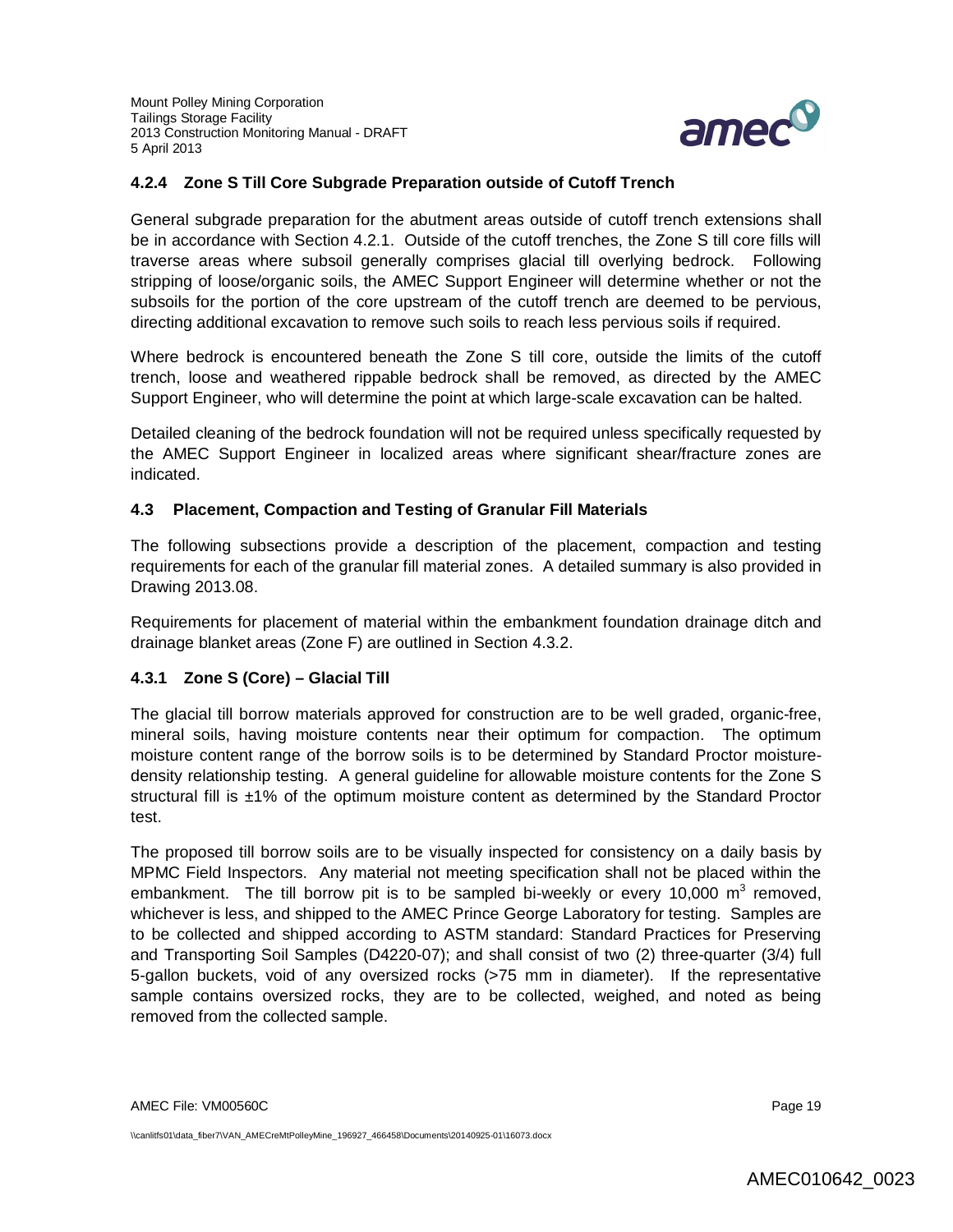

#### **4.2.4 Zone S Till Core Subgrade Preparation outside of Cutoff Trench**

General subgrade preparation for the abutment areas outside of cutoff trench extensions shall be in accordance with Section 4.2.1. Outside of the cutoff trenches, the Zone S till core fills will traverse areas where subsoil generally comprises glacial till overlying bedrock. Following stripping of loose/organic soils, the AMEC Support Engineer will determine whether or not the subsoils for the portion of the core upstream of the cutoff trench are deemed to be pervious, directing additional excavation to remove such soils to reach less pervious soils if required.

Where bedrock is encountered beneath the Zone S till core, outside the limits of the cutoff trench, loose and weathered rippable bedrock shall be removed, as directed by the AMEC Support Engineer, who will determine the point at which large-scale excavation can be halted.

Detailed cleaning of the bedrock foundation will not be required unless specifically requested by the AMEC Support Engineer in localized areas where significant shear/fracture zones are indicated.

#### **4.3 Placement, Compaction and Testing of Granular Fill Materials**

The following subsections provide a description of the placement, compaction and testing requirements for each of the granular fill material zones. A detailed summary is also provided in Drawing 2013.08.

Requirements for placement of material within the embankment foundation drainage ditch and drainage blanket areas (Zone F) are outlined in Section 4.3.2.

### **4.3.1 Zone S (Core) – Glacial Till**

The glacial till borrow materials approved for construction are to be well graded, organic-free, mineral soils, having moisture contents near their optimum for compaction. The optimum moisture content range of the borrow soils is to be determined by Standard Proctor moisturedensity relationship testing. A general guideline for allowable moisture contents for the Zone S structural fill is  $\pm 1\%$  of the optimum moisture content as determined by the Standard Proctor test.

The proposed till borrow soils are to be visually inspected for consistency on a daily basis by MPMC Field Inspectors. Any material not meeting specification shall not be placed within the embankment. The till borrow pit is to be sampled bi-weekly or every 10,000  $m^3$  removed, whichever is less, and shipped to the AMEC Prince George Laboratory for testing. Samples are to be collected and shipped according to ASTM standard: Standard Practices for Preserving and Transporting Soil Samples (D4220-07); and shall consist of two (2) three-quarter (3/4) full 5-gallon buckets, void of any oversized rocks (>75 mm in diameter). If the representative sample contains oversized rocks, they are to be collected, weighed, and noted as being removed from the collected sample.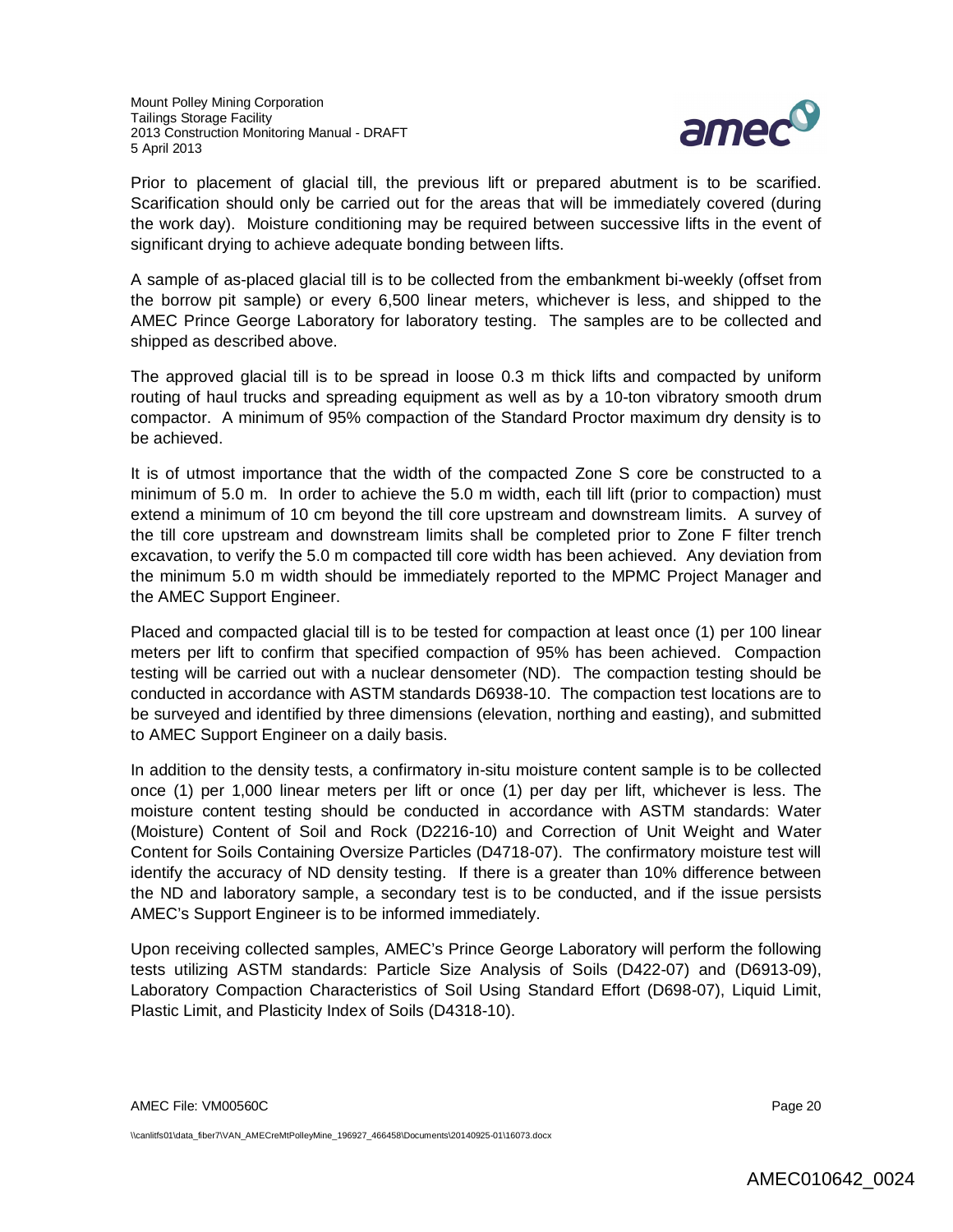

Prior to placement of glacial till, the previous lift or prepared abutment is to be scarified. Scarification should only be carried out for the areas that will be immediately covered (during the work day). Moisture conditioning may be required between successive lifts in the event of significant drying to achieve adequate bonding between lifts.

A sample of as-placed glacial till is to be collected from the embankment bi-weekly (offset from the borrow pit sample) or every 6,500 linear meters, whichever is less, and shipped to the AMEC Prince George Laboratory for laboratory testing. The samples are to be collected and shipped as described above.

The approved glacial till is to be spread in loose 0.3 m thick lifts and compacted by uniform routing of haul trucks and spreading equipment as well as by a 10-ton vibratory smooth drum compactor. A minimum of 95% compaction of the Standard Proctor maximum dry density is to be achieved.

It is of utmost importance that the width of the compacted Zone S core be constructed to a minimum of 5.0 m. In order to achieve the 5.0 m width, each till lift (prior to compaction) must extend a minimum of 10 cm beyond the till core upstream and downstream limits. A survey of the till core upstream and downstream limits shall be completed prior to Zone F filter trench excavation, to verify the 5.0 m compacted till core width has been achieved. Any deviation from the minimum 5.0 m width should be immediately reported to the MPMC Project Manager and the AMEC Support Engineer.

Placed and compacted glacial till is to be tested for compaction at least once (1) per 100 linear meters per lift to confirm that specified compaction of 95% has been achieved. Compaction testing will be carried out with a nuclear densometer (ND). The compaction testing should be conducted in accordance with ASTM standards D6938-10. The compaction test locations are to be surveyed and identified by three dimensions (elevation, northing and easting), and submitted to AMEC Support Engineer on a daily basis.

In addition to the density tests, a confirmatory in-situ moisture content sample is to be collected once (1) per 1,000 linear meters per lift or once (1) per day per lift, whichever is less. The moisture content testing should be conducted in accordance with ASTM standards: Water (Moisture) Content of Soil and Rock (D2216-10) and Correction of Unit Weight and Water Content for Soils Containing Oversize Particles (D4718-07). The confirmatory moisture test will identify the accuracy of ND density testing. If there is a greater than 10% difference between the ND and laboratory sample, a secondary test is to be conducted, and if the issue persists AMEC's Support Engineer is to be informed immediately.

Upon receiving collected samples, AMEC's Prince George Laboratory will perform the following tests utilizing ASTM standards: Particle Size Analysis of Soils (D422-07) and (D6913-09), Laboratory Compaction Characteristics of Soil Using Standard Effort (D698-07), Liquid Limit, Plastic Limit, and Plasticity Index of Soils (D4318-10).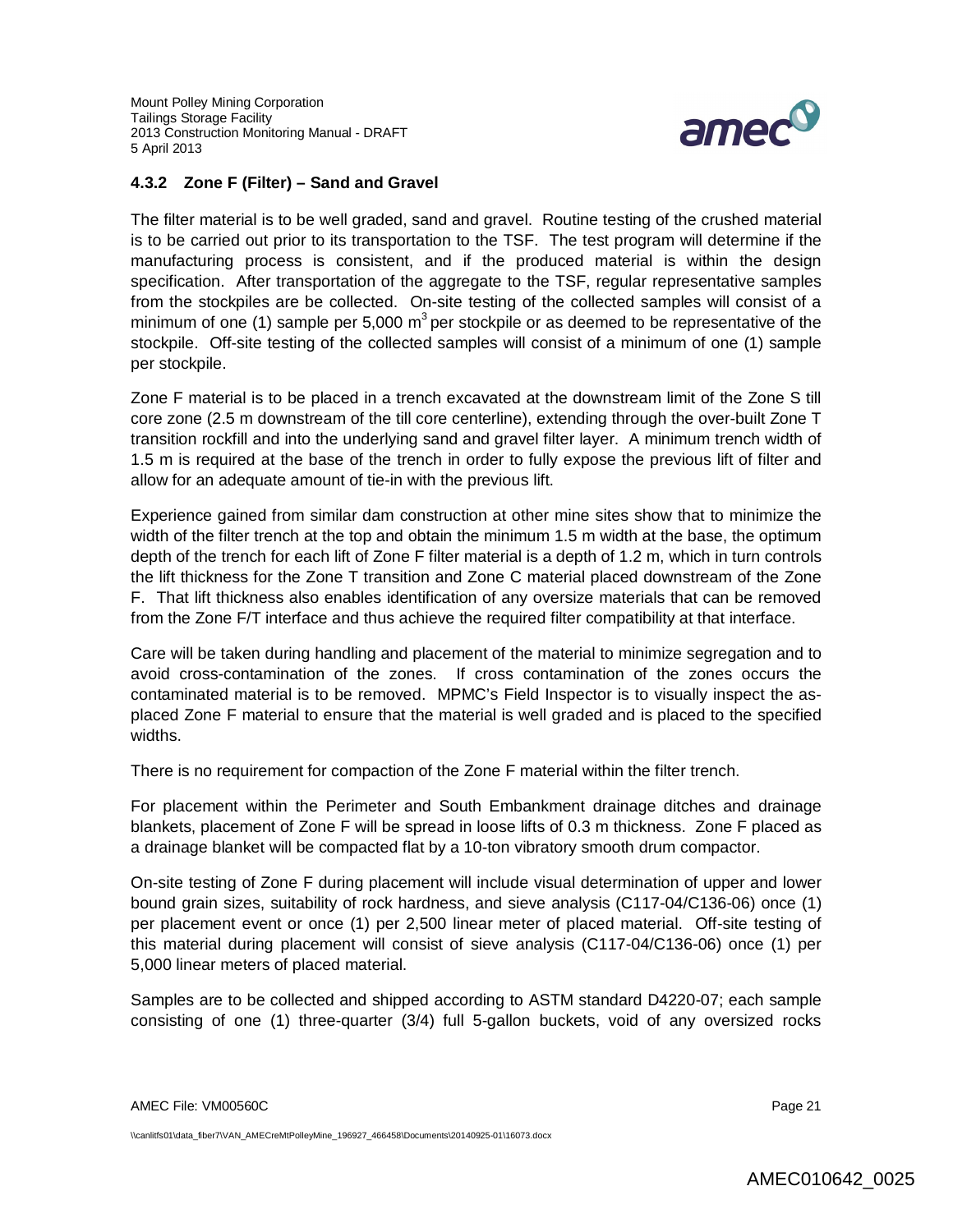

### **4.3.2 Zone F (Filter) – Sand and Gravel**

The filter material is to be well graded, sand and gravel. Routine testing of the crushed material is to be carried out prior to its transportation to the TSF. The test program will determine if the manufacturing process is consistent, and if the produced material is within the design specification. After transportation of the aggregate to the TSF, regular representative samples from the stockpiles are be collected. On-site testing of the collected samples will consist of a minimum of one (1) sample per 5,000  $m<sup>3</sup>$  per stockpile or as deemed to be representative of the stockpile. Off-site testing of the collected samples will consist of a minimum of one (1) sample per stockpile.

Zone F material is to be placed in a trench excavated at the downstream limit of the Zone S till core zone (2.5 m downstream of the till core centerline), extending through the over-built Zone T transition rockfill and into the underlying sand and gravel filter layer. A minimum trench width of 1.5 m is required at the base of the trench in order to fully expose the previous lift of filter and allow for an adequate amount of tie-in with the previous lift.

Experience gained from similar dam construction at other mine sites show that to minimize the width of the filter trench at the top and obtain the minimum 1.5 m width at the base, the optimum depth of the trench for each lift of Zone F filter material is a depth of 1.2 m, which in turn controls the lift thickness for the Zone T transition and Zone C material placed downstream of the Zone F. That lift thickness also enables identification of any oversize materials that can be removed from the Zone F/T interface and thus achieve the required filter compatibility at that interface.

Care will be taken during handling and placement of the material to minimize segregation and to avoid cross-contamination of the zones. If cross contamination of the zones occurs the contaminated material is to be removed. MPMC's Field Inspector is to visually inspect the asplaced Zone F material to ensure that the material is well graded and is placed to the specified widths.

There is no requirement for compaction of the Zone F material within the filter trench.

For placement within the Perimeter and South Embankment drainage ditches and drainage blankets, placement of Zone F will be spread in loose lifts of 0.3 m thickness. Zone F placed as a drainage blanket will be compacted flat by a 10-ton vibratory smooth drum compactor.

On-site testing of Zone F during placement will include visual determination of upper and lower bound grain sizes, suitability of rock hardness, and sieve analysis (C117-04/C136-06) once (1) per placement event or once (1) per 2,500 linear meter of placed material. Off-site testing of this material during placement will consist of sieve analysis (C117-04/C136-06) once (1) per 5,000 linear meters of placed material.

Samples are to be collected and shipped according to ASTM standard D4220-07; each sample consisting of one (1) three-quarter (3/4) full 5-gallon buckets, void of any oversized rocks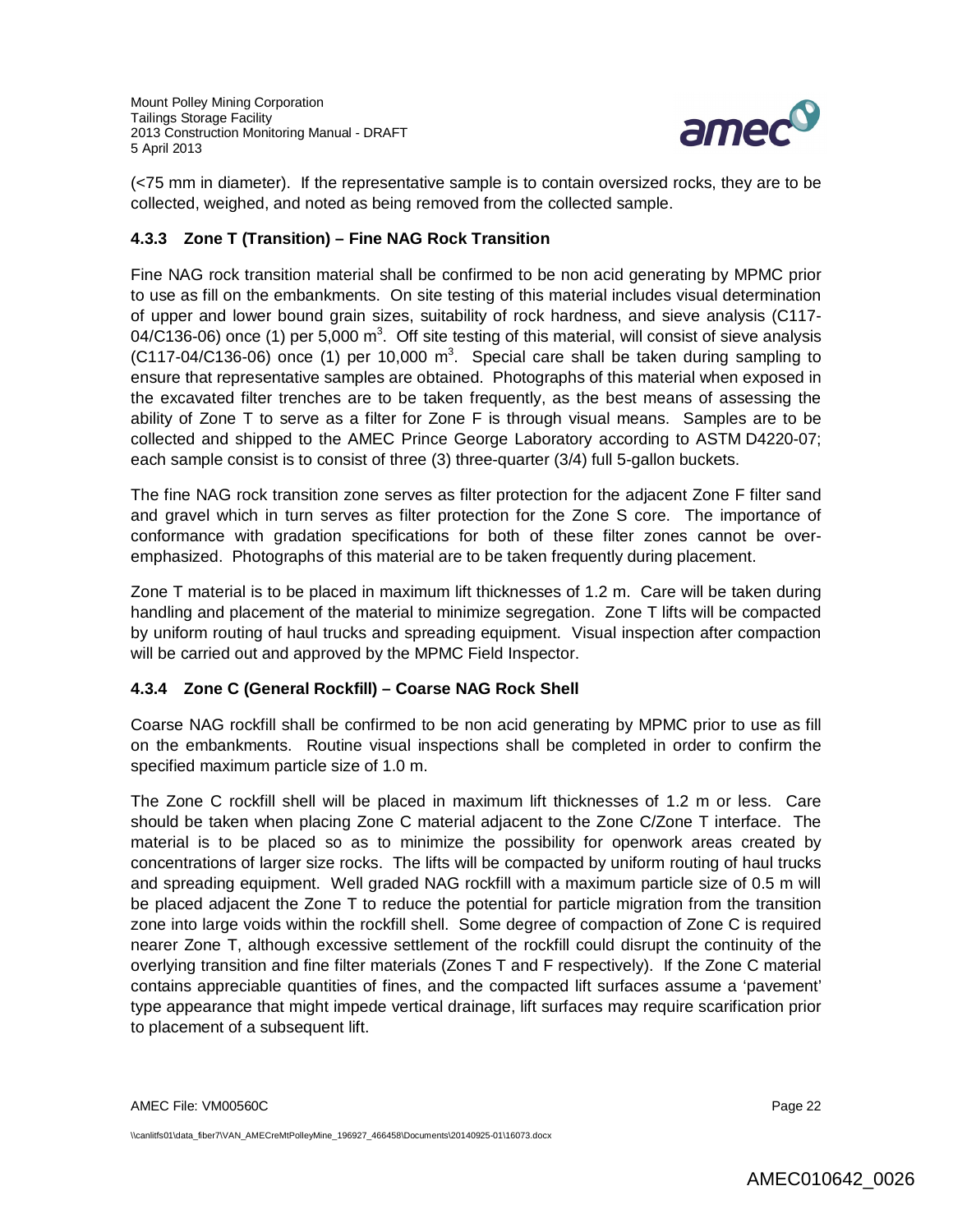

(<75 mm in diameter). If the representative sample is to contain oversized rocks, they are to be collected, weighed, and noted as being removed from the collected sample.

### **4.3.3 Zone T (Transition) – Fine NAG Rock Transition**

Fine NAG rock transition material shall be confirmed to be non acid generating by MPMC prior to use as fill on the embankments. On site testing of this material includes visual determination of upper and lower bound grain sizes, suitability of rock hardness, and sieve analysis (C117- 04/C136-06) once (1) per 5,000 m<sup>3</sup>. Off site testing of this material, will consist of sieve analysis  $(C117-04/C136-06)$  once (1) per 10,000 m<sup>3</sup>. Special care shall be taken during sampling to ensure that representative samples are obtained. Photographs of this material when exposed in the excavated filter trenches are to be taken frequently, as the best means of assessing the ability of Zone T to serve as a filter for Zone F is through visual means. Samples are to be collected and shipped to the AMEC Prince George Laboratory according to ASTM D4220-07; each sample consist is to consist of three (3) three-quarter (3/4) full 5-gallon buckets.

The fine NAG rock transition zone serves as filter protection for the adjacent Zone F filter sand and gravel which in turn serves as filter protection for the Zone S core. The importance of conformance with gradation specifications for both of these filter zones cannot be overemphasized. Photographs of this material are to be taken frequently during placement.

Zone T material is to be placed in maximum lift thicknesses of 1.2 m. Care will be taken during handling and placement of the material to minimize segregation. Zone T lifts will be compacted by uniform routing of haul trucks and spreading equipment. Visual inspection after compaction will be carried out and approved by the MPMC Field Inspector.

### **4.3.4 Zone C (General Rockfill) – Coarse NAG Rock Shell**

Coarse NAG rockfill shall be confirmed to be non acid generating by MPMC prior to use as fill on the embankments. Routine visual inspections shall be completed in order to confirm the specified maximum particle size of 1.0 m.

The Zone C rockfill shell will be placed in maximum lift thicknesses of 1.2 m or less. Care should be taken when placing Zone C material adjacent to the Zone C/Zone T interface. The material is to be placed so as to minimize the possibility for openwork areas created by concentrations of larger size rocks. The lifts will be compacted by uniform routing of haul trucks and spreading equipment. Well graded NAG rockfill with a maximum particle size of 0.5 m will be placed adjacent the Zone T to reduce the potential for particle migration from the transition zone into large voids within the rockfill shell. Some degree of compaction of Zone C is required nearer Zone T, although excessive settlement of the rockfill could disrupt the continuity of the overlying transition and fine filter materials (Zones T and F respectively). If the Zone C material contains appreciable quantities of fines, and the compacted lift surfaces assume a 'pavement' type appearance that might impede vertical drainage, lift surfaces may require scarification prior to placement of a subsequent lift.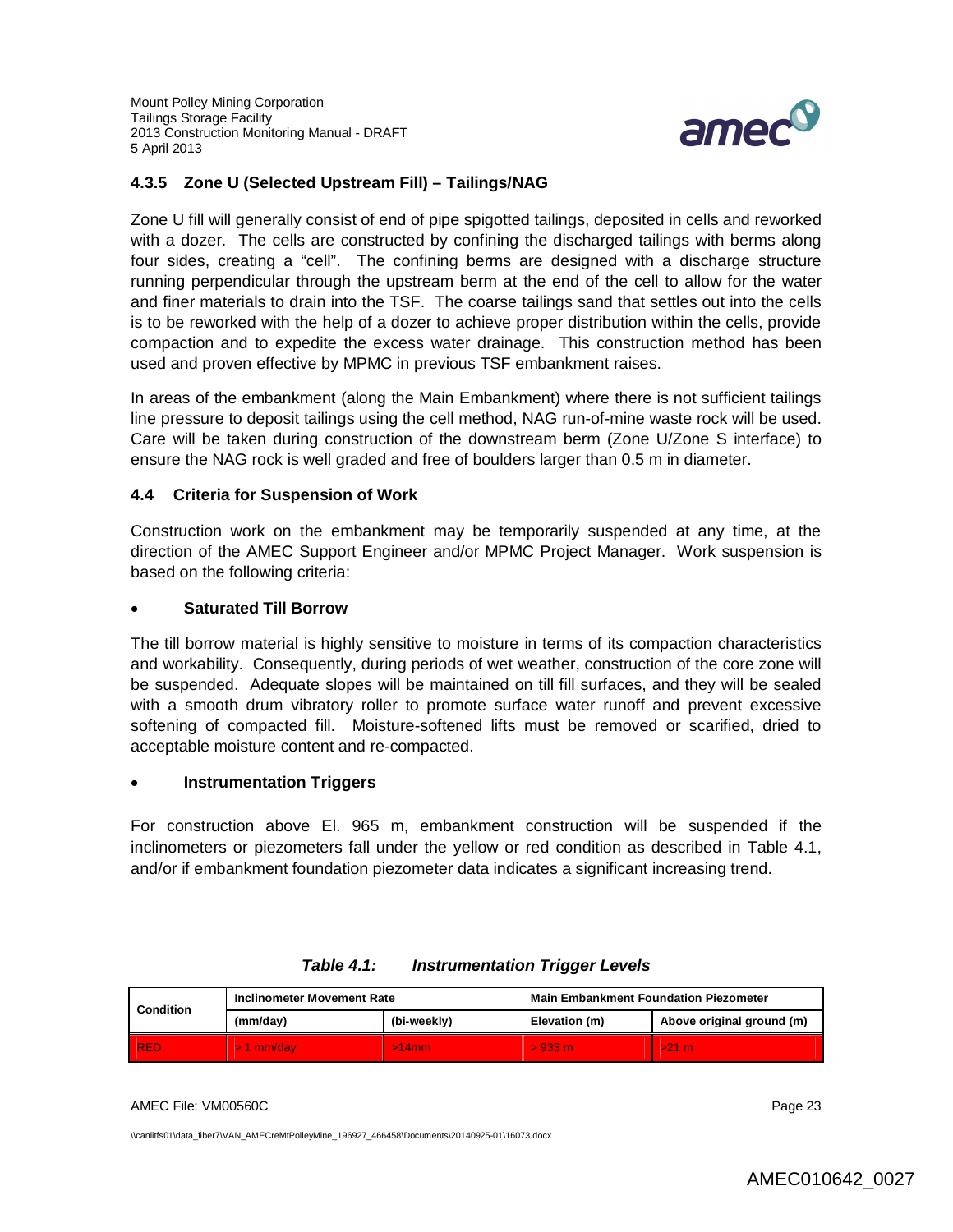

### **4.3.5 Zone U (Selected Upstream Fill) – Tailings/NAG**

Zone U fill will generally consist of end of pipe spigotted tailings, deposited in cells and reworked with a dozer. The cells are constructed by confining the discharged tailings with berms along four sides, creating a "cell". The confining berms are designed with a discharge structure running perpendicular through the upstream berm at the end of the cell to allow for the water and finer materials to drain into the TSF. The coarse tailings sand that settles out into the cells is to be reworked with the help of a dozer to achieve proper distribution within the cells, provide compaction and to expedite the excess water drainage. This construction method has been used and proven effective by MPMC in previous TSF embankment raises.

In areas of the embankment (along the Main Embankment) where there is not sufficient tailings line pressure to deposit tailings using the cell method, NAG run-of-mine waste rock will be used. Care will be taken during construction of the downstream berm (Zone U/Zone S interface) to ensure the NAG rock is well graded and free of boulders larger than 0.5 m in diameter.

#### **4.4 Criteria for Suspension of Work**

Construction work on the embankment may be temporarily suspended at any time, at the direction of the AMEC Support Engineer and/or MPMC Project Manager. Work suspension is based on the following criteria:

#### **Saturated Till Borrow**

The till borrow material is highly sensitive to moisture in terms of its compaction characteristics and workability. Consequently, during periods of wet weather, construction of the core zone will be suspended. Adequate slopes will be maintained on till fill surfaces, and they will be sealed with a smooth drum vibratory roller to promote surface water runoff and prevent excessive softening of compacted fill. Moisture-softened lifts must be removed or scarified, dried to acceptable moisture content and re-compacted.

#### **Instrumentation Triggers**

For construction above El. 965 m, embankment construction will be suspended if the inclinometers or piezometers fall under the yellow or red condition as described in Table 4.1, and/or if embankment foundation piezometer data indicates a significant increasing trend.

| <b>Condition</b> | Inclinometer Movement Rate |             | <b>Main Embankment Foundation Piezometer</b> |                           |
|------------------|----------------------------|-------------|----------------------------------------------|---------------------------|
|                  | (mm/dav)                   | (bi-weekly) | Elevation (m)                                | Above original ground (m) |
| <b>RED</b>       | $> 1$ mm/day               | $>14$ mm    | $>933$ m                                     | $>21$ m                   |

### *Table 4.1: Instrumentation Trigger Levels*

AMEC File: VM00560C Page 23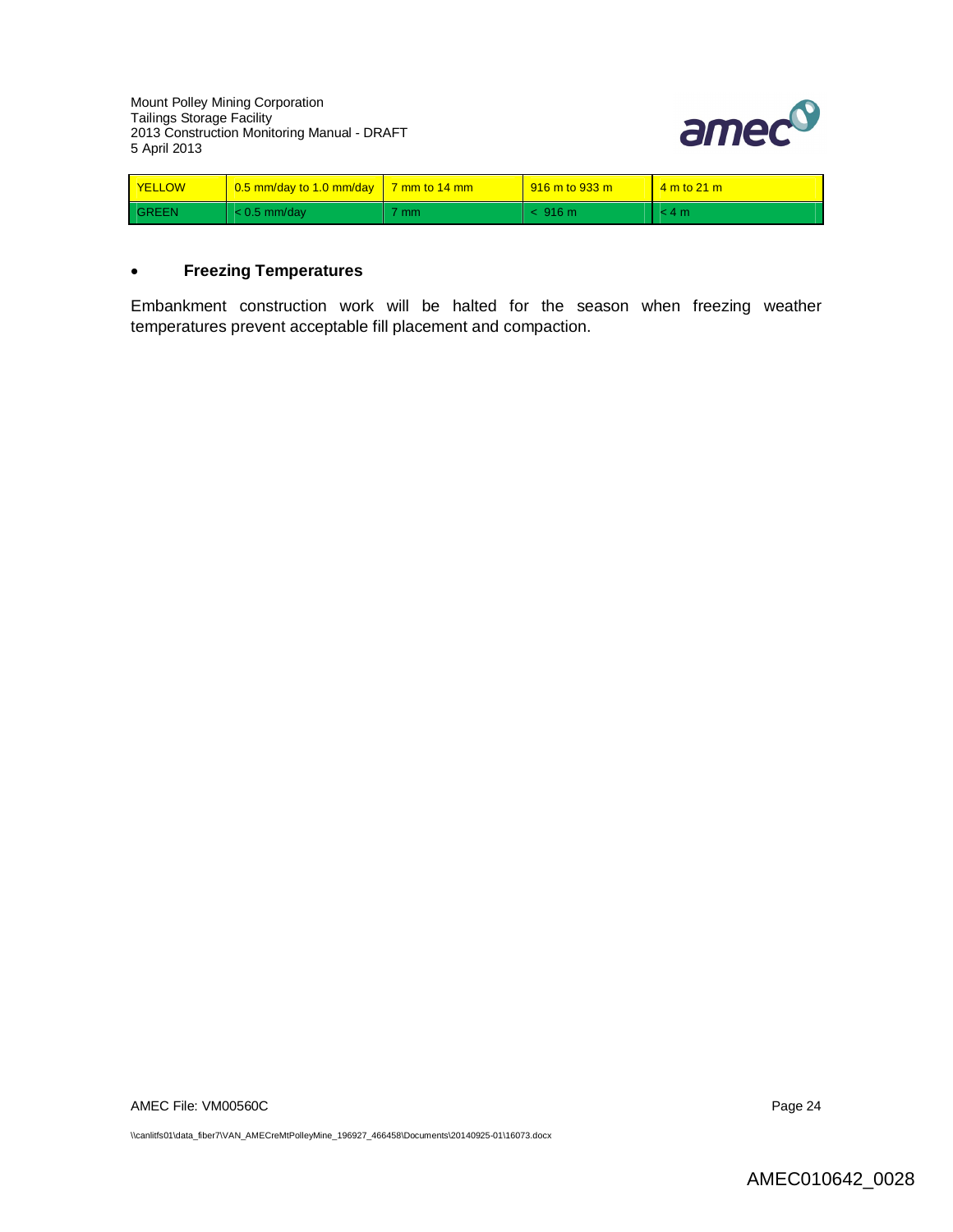

| YELLOW  | 0.5 mm/day to 1.0 mm/day $\mid$ 7 mm to 14 mm |    | $916$ m to 933 m | $4 \text{ m}$ to 21 m |
|---------|-----------------------------------------------|----|------------------|-----------------------|
| l GREEN | 0.5 mm/dav                                    | mm | 916 m            | < 4 m                 |

### **Freezing Temperatures**

Embankment construction work will be halted for the season when freezing weather temperatures prevent acceptable fill placement and compaction.

AMEC File: VM00560C Page 24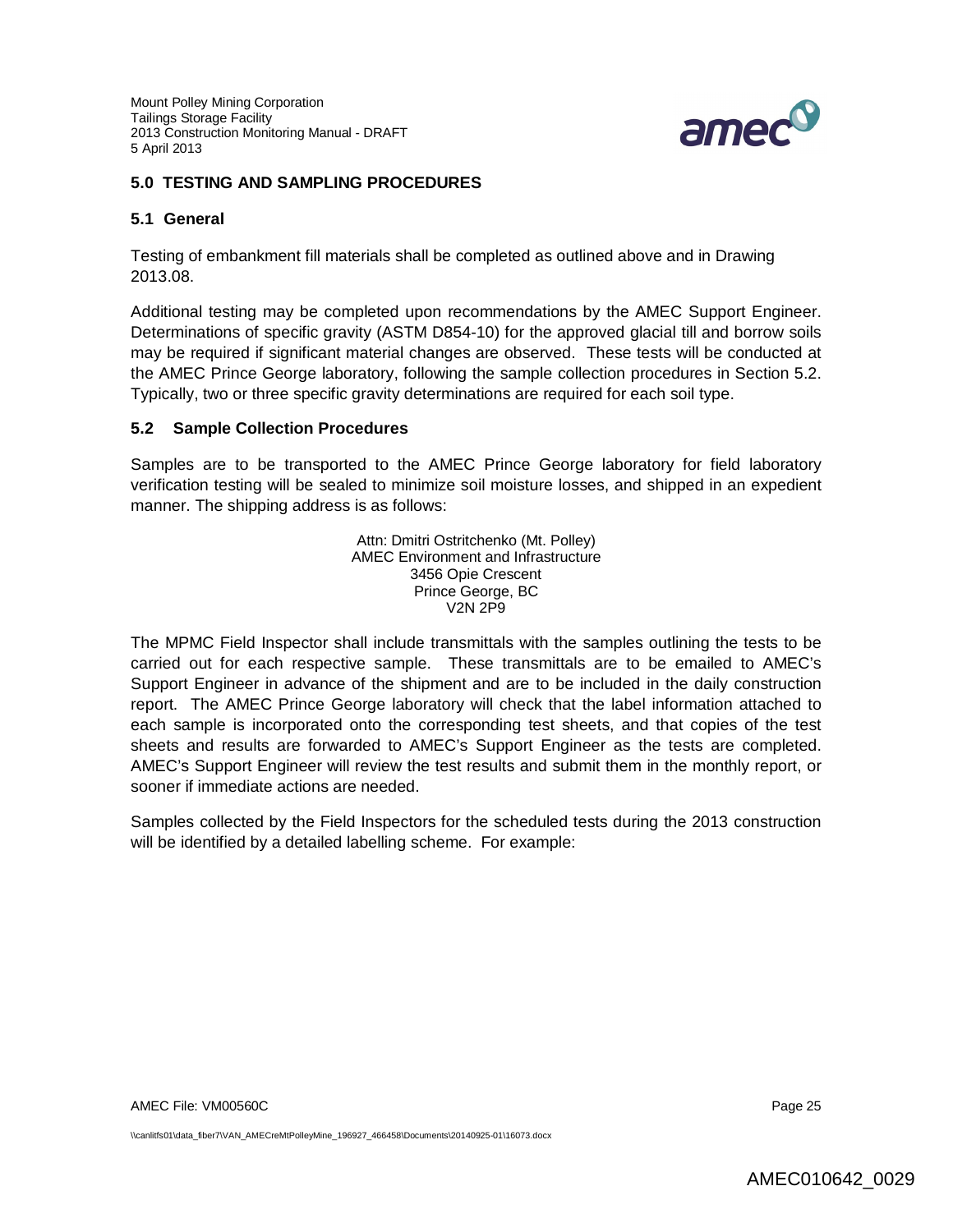

#### **5.0 TESTING AND SAMPLING PROCEDURES**

#### **5.1 General**

Testing of embankment fill materials shall be completed as outlined above and in Drawing 2013.08.

Additional testing may be completed upon recommendations by the AMEC Support Engineer. Determinations of specific gravity (ASTM D854-10) for the approved glacial till and borrow soils may be required if significant material changes are observed. These tests will be conducted at the AMEC Prince George laboratory, following the sample collection procedures in Section 5.2. Typically, two or three specific gravity determinations are required for each soil type.

#### **5.2 Sample Collection Procedures**

Samples are to be transported to the AMEC Prince George laboratory for field laboratory verification testing will be sealed to minimize soil moisture losses, and shipped in an expedient manner. The shipping address is as follows:

> Attn: Dmitri Ostritchenko (Mt. Polley) AMEC Environment and Infrastructure 3456 Opie Crescent Prince George, BC V2N 2P9

The MPMC Field Inspector shall include transmittals with the samples outlining the tests to be carried out for each respective sample. These transmittals are to be emailed to AMEC's Support Engineer in advance of the shipment and are to be included in the daily construction report. The AMEC Prince George laboratory will check that the label information attached to each sample is incorporated onto the corresponding test sheets, and that copies of the test sheets and results are forwarded to AMEC's Support Engineer as the tests are completed. AMEC's Support Engineer will review the test results and submit them in the monthly report, or sooner if immediate actions are needed.

Samples collected by the Field Inspectors for the scheduled tests during the 2013 construction will be identified by a detailed labelling scheme. For example: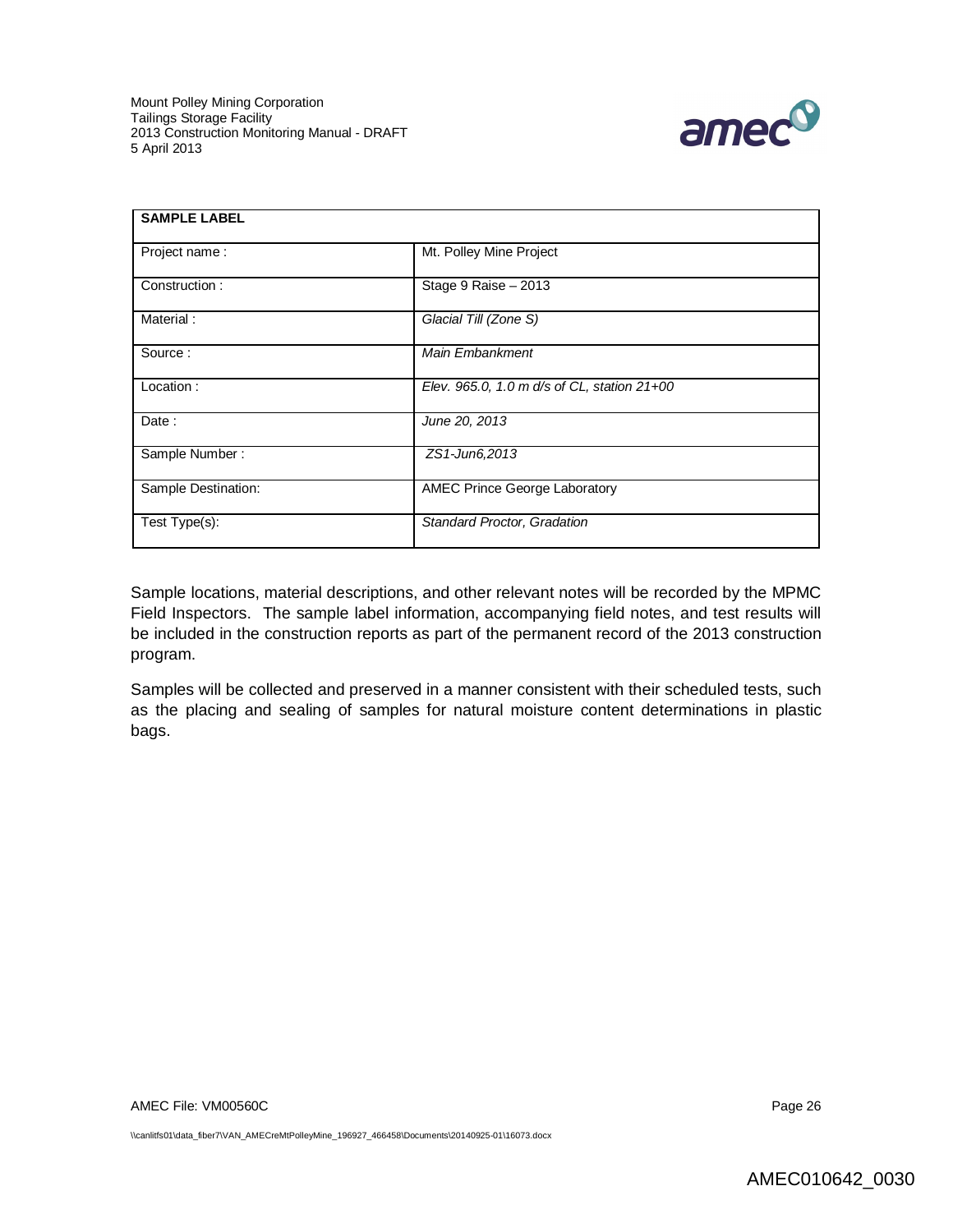

| <b>SAMPLE LABEL</b> |                                             |
|---------------------|---------------------------------------------|
| Project name:       | Mt. Polley Mine Project                     |
| Construction:       | Stage 9 Raise - 2013                        |
| Material:           | Glacial Till (Zone S)                       |
| Source:             | Main Embankment                             |
| Location:           | Elev. 965.0, 1.0 m d/s of CL, station 21+00 |
| Date:               | June 20, 2013                               |
| Sample Number:      | ZS1-Jun6,2013                               |
| Sample Destination: | <b>AMEC Prince George Laboratory</b>        |
| Test Type(s):       | <b>Standard Proctor, Gradation</b>          |

Sample locations, material descriptions, and other relevant notes will be recorded by the MPMC Field Inspectors. The sample label information, accompanying field notes, and test results will be included in the construction reports as part of the permanent record of the 2013 construction program.

Samples will be collected and preserved in a manner consistent with their scheduled tests, such as the placing and sealing of samples for natural moisture content determinations in plastic bags.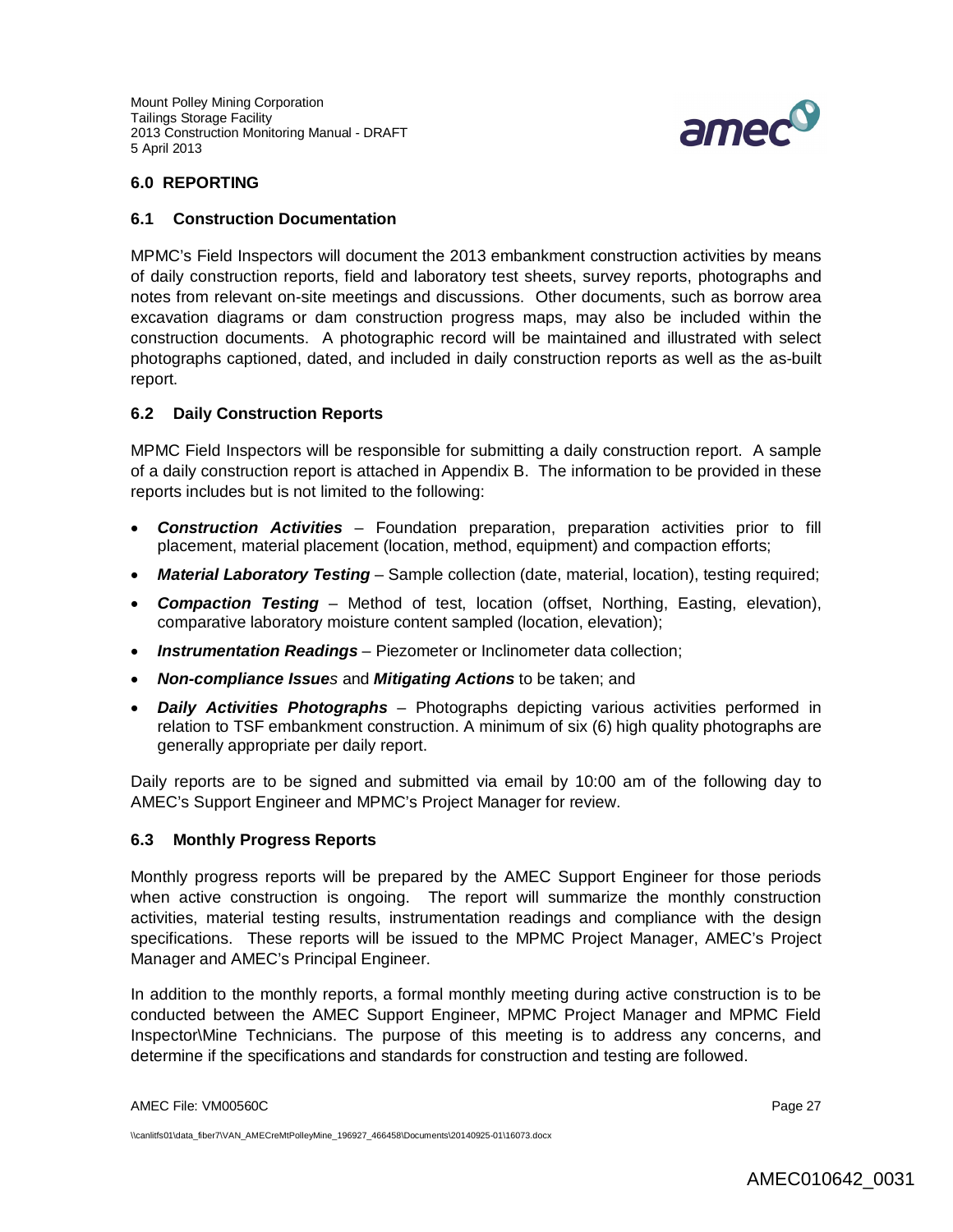

#### **6.0 REPORTING**

#### **6.1 Construction Documentation**

MPMC's Field Inspectors will document the 2013 embankment construction activities by means of daily construction reports, field and laboratory test sheets, survey reports, photographs and notes from relevant on-site meetings and discussions. Other documents, such as borrow area excavation diagrams or dam construction progress maps, may also be included within the construction documents. A photographic record will be maintained and illustrated with select photographs captioned, dated, and included in daily construction reports as well as the as-built report.

#### **6.2 Daily Construction Reports**

MPMC Field Inspectors will be responsible for submitting a daily construction report. A sample of a daily construction report is attached in Appendix B. The information to be provided in these reports includes but is not limited to the following:

- *Construction Activities* Foundation preparation, preparation activities prior to fill placement, material placement (location, method, equipment) and compaction efforts;
- *Material Laboratory Testing* Sample collection (date, material, location), testing required;
- *Compaction Testing* Method of test, location (offset, Northing, Easting, elevation), comparative laboratory moisture content sampled (location, elevation);
- *Instrumentation Readings* Piezometer or Inclinometer data collection;
- *Non-compliance Issues* and *Mitigating Actions* to be taken; and
- *Daily Activities Photographs* Photographs depicting various activities performed in relation to TSF embankment construction. A minimum of six (6) high quality photographs are generally appropriate per daily report.

Daily reports are to be signed and submitted via email by 10:00 am of the following day to AMEC's Support Engineer and MPMC's Project Manager for review.

#### **6.3 Monthly Progress Reports**

Monthly progress reports will be prepared by the AMEC Support Engineer for those periods when active construction is ongoing. The report will summarize the monthly construction activities, material testing results, instrumentation readings and compliance with the design specifications. These reports will be issued to the MPMC Project Manager, AMEC's Project Manager and AMEC's Principal Engineer.

In addition to the monthly reports, a formal monthly meeting during active construction is to be conducted between the AMEC Support Engineer, MPMC Project Manager and MPMC Field Inspector\Mine Technicians. The purpose of this meeting is to address any concerns, and determine if the specifications and standards for construction and testing are followed.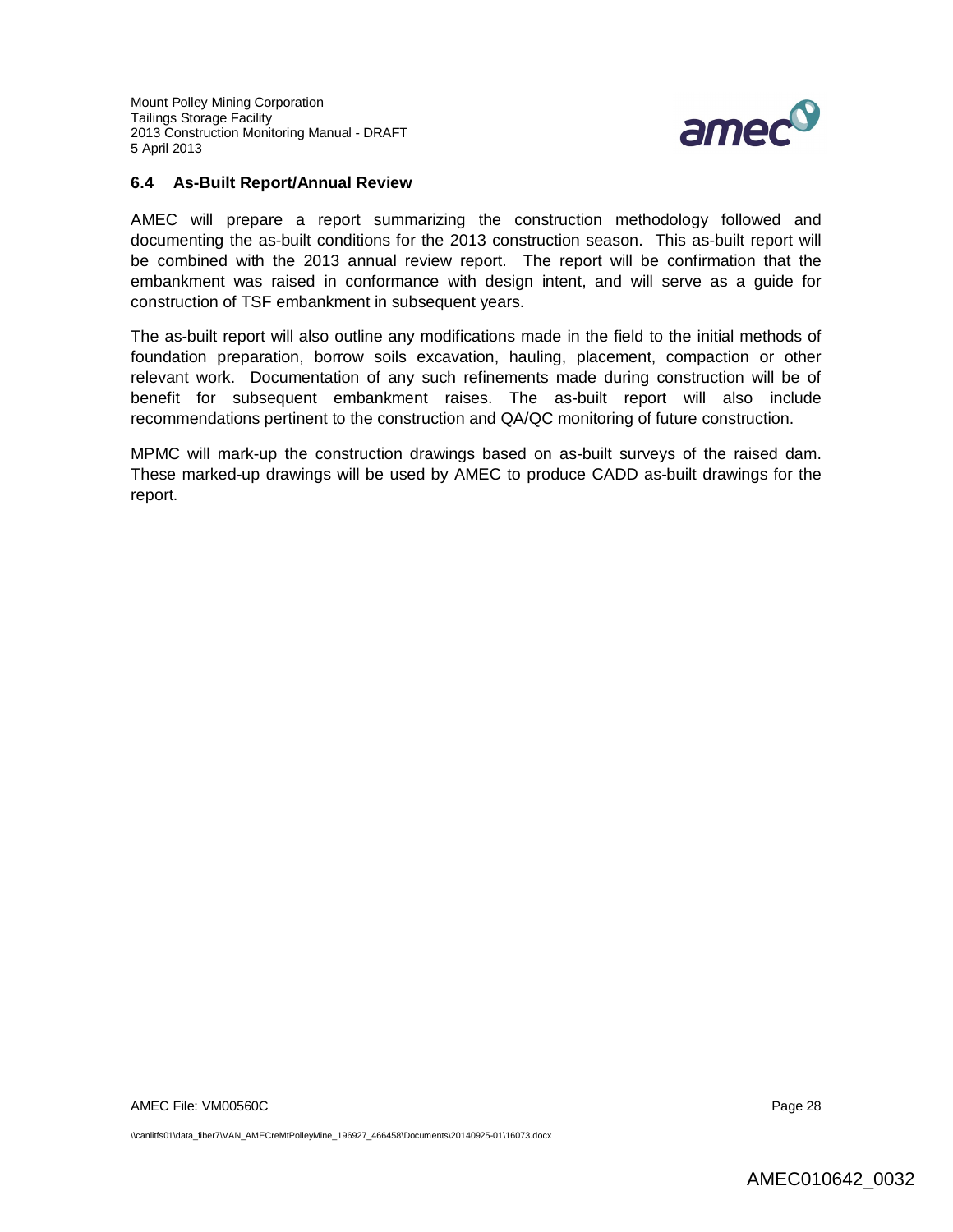

#### **6.4 As-Built Report/Annual Review**

AMEC will prepare a report summarizing the construction methodology followed and documenting the as-built conditions for the 2013 construction season. This as-built report will be combined with the 2013 annual review report. The report will be confirmation that the embankment was raised in conformance with design intent, and will serve as a guide for construction of TSF embankment in subsequent years.

The as-built report will also outline any modifications made in the field to the initial methods of foundation preparation, borrow soils excavation, hauling, placement, compaction or other relevant work. Documentation of any such refinements made during construction will be of benefit for subsequent embankment raises. The as-built report will also include recommendations pertinent to the construction and QA/QC monitoring of future construction.

MPMC will mark-up the construction drawings based on as-built surveys of the raised dam. These marked-up drawings will be used by AMEC to produce CADD as-built drawings for the report.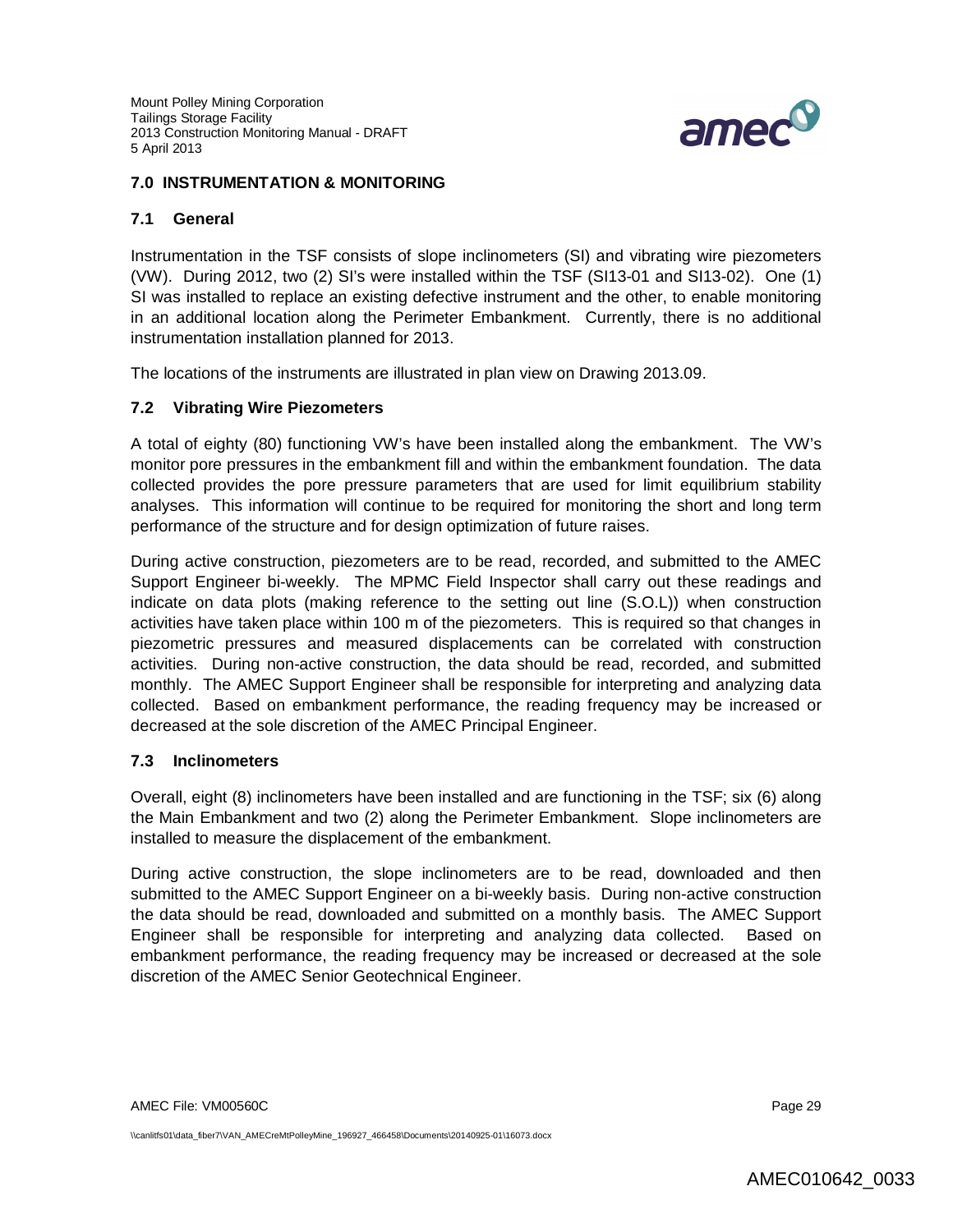

### **7.0 INSTRUMENTATION & MONITORING**

### **7.1 General**

Instrumentation in the TSF consists of slope inclinometers (SI) and vibrating wire piezometers (VW). During 2012, two (2) SI's were installed within the TSF (SI13-01 and SI13-02). One (1) SI was installed to replace an existing defective instrument and the other, to enable monitoring in an additional location along the Perimeter Embankment. Currently, there is no additional instrumentation installation planned for 2013.

The locations of the instruments are illustrated in plan view on Drawing 2013.09.

### **7.2 Vibrating Wire Piezometers**

A total of eighty (80) functioning VW's have been installed along the embankment. The VW's monitor pore pressures in the embankment fill and within the embankment foundation. The data collected provides the pore pressure parameters that are used for limit equilibrium stability analyses. This information will continue to be required for monitoring the short and long term performance of the structure and for design optimization of future raises.

During active construction, piezometers are to be read, recorded, and submitted to the AMEC Support Engineer bi-weekly. The MPMC Field Inspector shall carry out these readings and indicate on data plots (making reference to the setting out line (S.O.L)) when construction activities have taken place within 100 m of the piezometers. This is required so that changes in piezometric pressures and measured displacements can be correlated with construction activities. During non-active construction, the data should be read, recorded, and submitted monthly. The AMEC Support Engineer shall be responsible for interpreting and analyzing data collected. Based on embankment performance, the reading frequency may be increased or decreased at the sole discretion of the AMEC Principal Engineer.

### **7.3 Inclinometers**

Overall, eight (8) inclinometers have been installed and are functioning in the TSF; six (6) along the Main Embankment and two (2) along the Perimeter Embankment. Slope inclinometers are installed to measure the displacement of the embankment.

During active construction, the slope inclinometers are to be read, downloaded and then submitted to the AMEC Support Engineer on a bi-weekly basis. During non-active construction the data should be read, downloaded and submitted on a monthly basis. The AMEC Support Engineer shall be responsible for interpreting and analyzing data collected. Based on embankment performance, the reading frequency may be increased or decreased at the sole discretion of the AMEC Senior Geotechnical Engineer.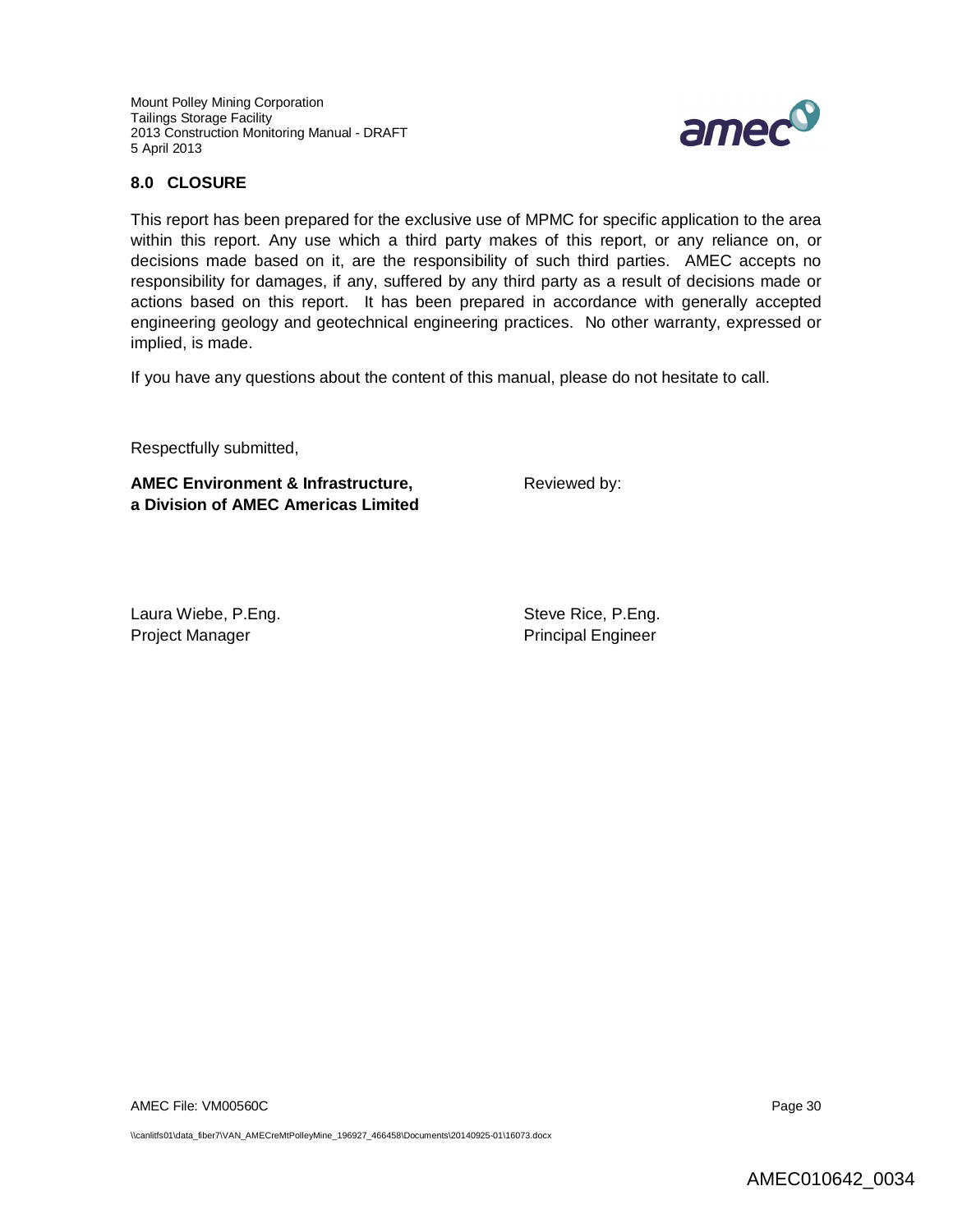

### **8.0 CLOSURE**

This report has been prepared for the exclusive use of MPMC for specific application to the area within this report. Any use which a third party makes of this report, or any reliance on, or decisions made based on it, are the responsibility of such third parties. AMEC accepts no responsibility for damages, if any, suffered by any third party as a result of decisions made or actions based on this report. It has been prepared in accordance with generally accepted engineering geology and geotechnical engineering practices. No other warranty, expressed or implied, is made.

If you have any questions about the content of this manual, please do not hesitate to call.

Respectfully submitted,

**AMEC Environment & Infrastructure, a Division of AMEC Americas Limited** Reviewed by:

Laura Wiebe, P.Eng. Project Manager

Steve Rice, P.Eng. Principal Engineer

AMEC File: VM00560C Page 30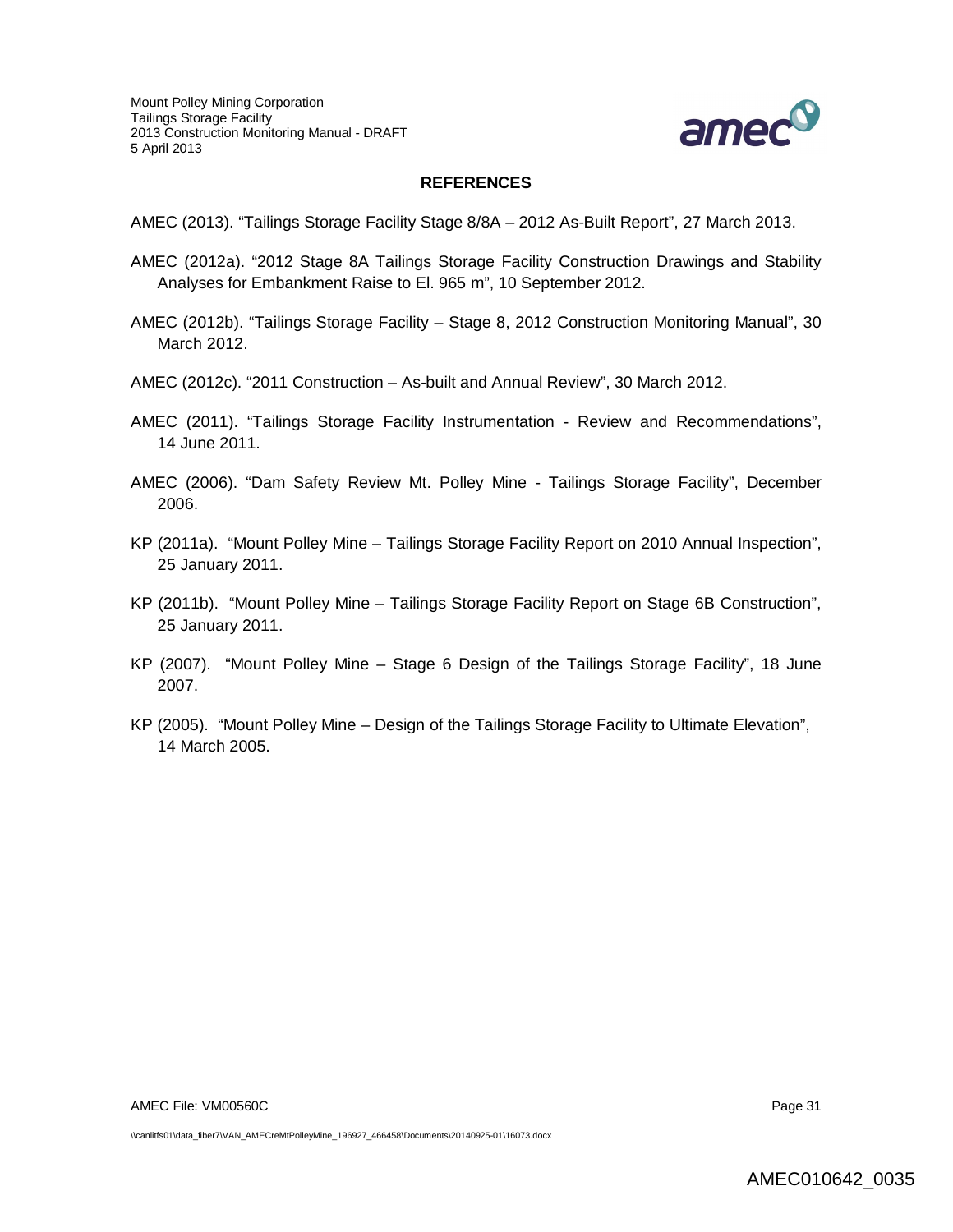

#### **REFERENCES**

AMEC (2013). "Tailings Storage Facility Stage 8/8A – 2012 As-Built Report", 27 March 2013.

- AMEC (2012a). "2012 Stage 8A Tailings Storage Facility Construction Drawings and Stability Analyses for Embankment Raise to El. 965 m", 10 September 2012.
- AMEC (2012b). "Tailings Storage Facility Stage 8, 2012 Construction Monitoring Manual", 30 March 2012.
- AMEC (2012c). "2011 Construction As-built and Annual Review", 30 March 2012.
- AMEC (2011). "Tailings Storage Facility Instrumentation Review and Recommendations", 14 June 2011.
- AMEC (2006). "Dam Safety Review Mt. Polley Mine Tailings Storage Facility", December 2006.
- KP (2011a). "Mount Polley Mine Tailings Storage Facility Report on 2010 Annual Inspection", 25 January 2011.
- KP (2011b). "Mount Polley Mine Tailings Storage Facility Report on Stage 6B Construction", 25 January 2011.
- KP (2007). "Mount Polley Mine Stage 6 Design of the Tailings Storage Facility", 18 June 2007.
- KP (2005). "Mount Polley Mine Design of the Tailings Storage Facility to Ultimate Elevation", 14 March 2005.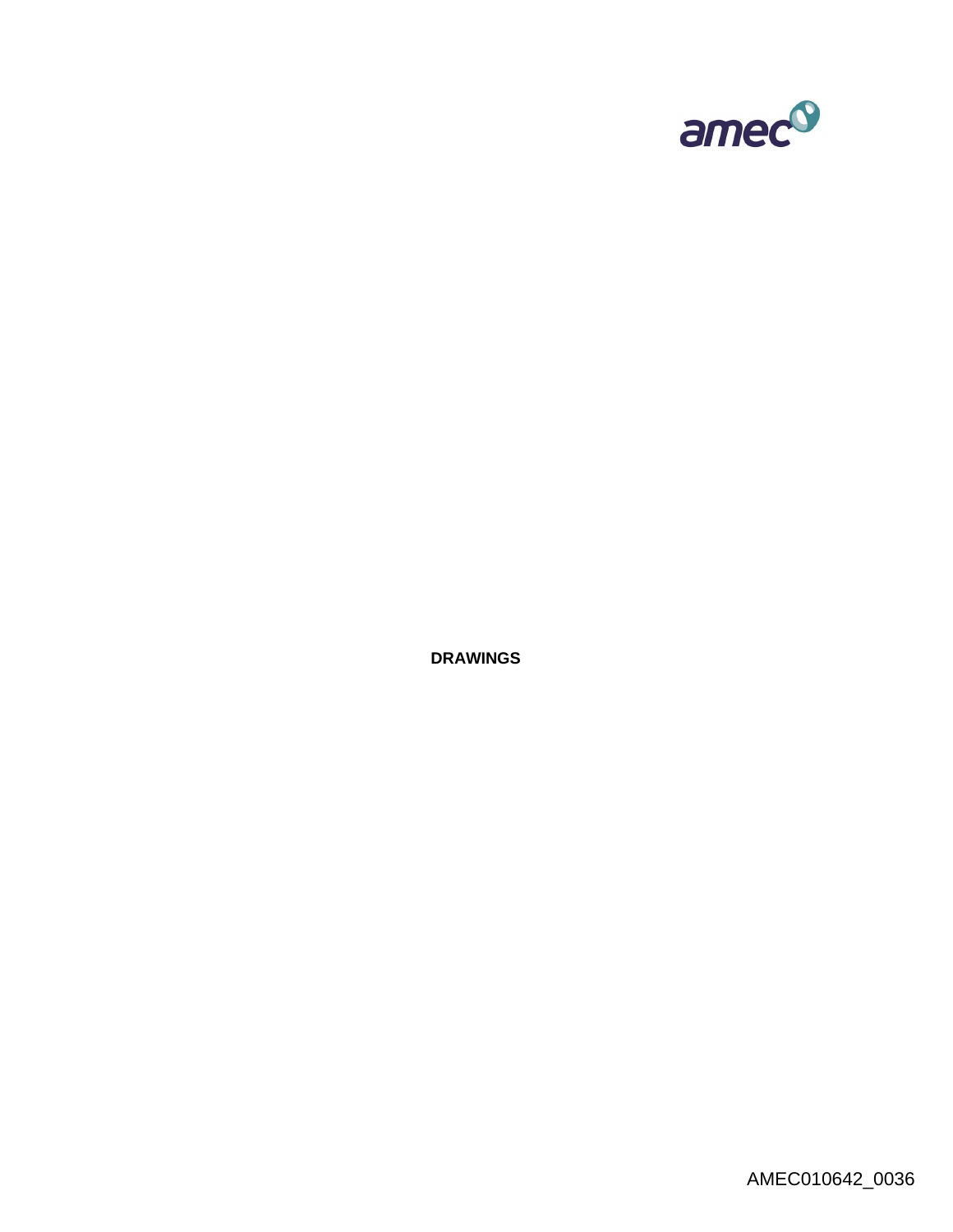

**DRAWINGS**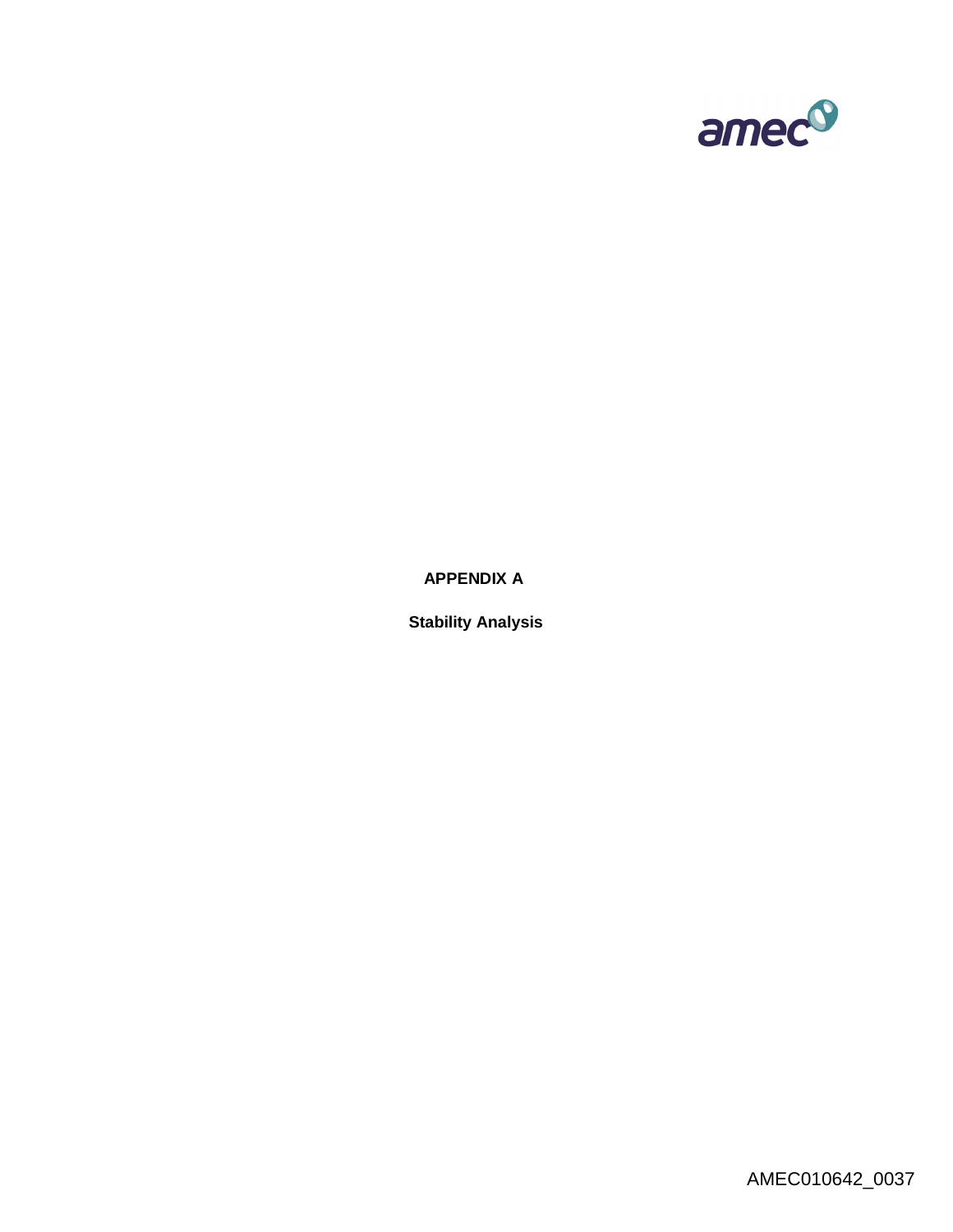

**APPENDIX A**

**Stability Analysis**